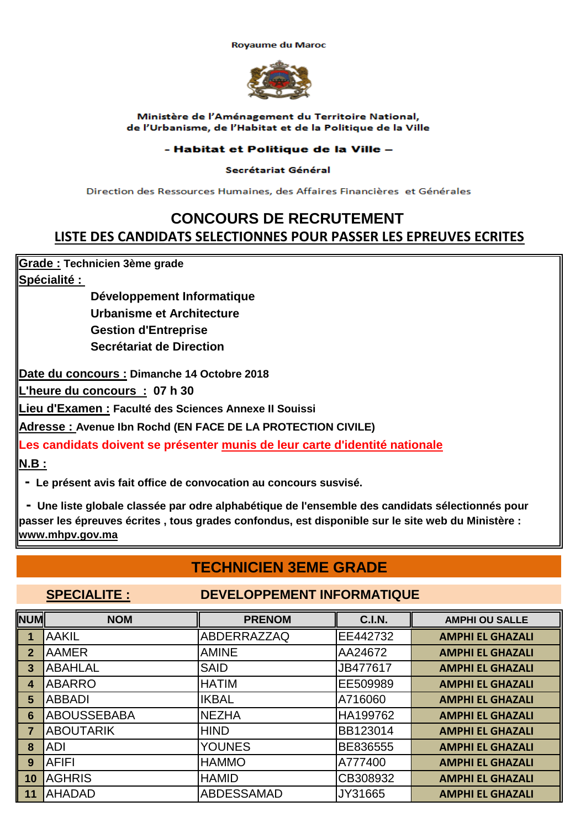**Rovaume du Maroc** 



Ministère de l'Aménagement du Territoire National, de l'Urbanisme, de l'Habitat et de la Politique de la Ville

### - Habitat et Politique de la Ville -

### Secrétariat Général

Direction des Ressources Humaines, des Affaires Financières, et Générales

# **CONCOURS DE RECRUTEMENT LISTE DES CANDIDATS SELECTIONNES POUR PASSER LES EPREUVES ECRITES**

**Grade : Technicien 3ème grade**

**Spécialité :** 

**Urbanisme et Architecture Gestion d'Entreprise Secrétariat de Direction Développement Informatique** 

**Date du concours : Dimanche 14 Octobre 2018**

**L'heure du concours : 07 h 30**

**Lieu d'Examen : Faculté des Sciences Annexe II Souissi**

**Adresse : Avenue Ibn Rochd (EN FACE DE LA PROTECTION CIVILE)**

**N.B : Les candidats doivent se présenter munis de leur carte d'identité nationale**

 **- Le présent avis fait office de convocation au concours susvisé.**

 **- Une liste globale classée par odre alphabétique de l'ensemble des candidats sélectionnés pour passer les épreuves écrites , tous grades confondus, est disponible sur le site web du Ministère : www.mhpv.gov.ma**

## **TECHNICIEN 3EME GRADE**

### **SPECIALITE : DEVELOPPEMENT INFORMATIQUE**

| <b>NUM</b>     | <b>NOM</b>         | <b>PRENOM</b>      | <b>C.I.N.</b> | <b>AMPHI OU SALLE</b>   |
|----------------|--------------------|--------------------|---------------|-------------------------|
|                | <b>AAKIL</b>       | <b>ABDERRAZZAQ</b> | EE442732      | <b>AMPHI EL GHAZALI</b> |
| $\mathbf{2}$   | <b>AAMER</b>       | <b>AMINE</b>       | AA24672       | <b>AMPHI EL GHAZALI</b> |
| 3              | <b>ABAHLAL</b>     | <b>SAID</b>        | JB477617      | <b>AMPHI EL GHAZALI</b> |
| 4              | <b>ABARRO</b>      | <b>HATIM</b>       | EE509989      | <b>AMPHI EL GHAZALI</b> |
| 5              | <b>ABBADI</b>      | <b>IKBAL</b>       | A716060       | <b>AMPHI EL GHAZALI</b> |
| 6              | <b>ABOUSSEBABA</b> | <b>NEZHA</b>       | HA199762      | <b>AMPHI EL GHAZALI</b> |
| $\overline{7}$ | <b>ABOUTARIK</b>   | <b>HIND</b>        | BB123014      | <b>AMPHI EL GHAZALI</b> |
| 8              | <b>ADI</b>         | <b>YOUNES</b>      | BE836555      | <b>AMPHI EL GHAZALI</b> |
| 9              | <b>AFIFI</b>       | <b>HAMMO</b>       | A777400       | <b>AMPHI EL GHAZALI</b> |
| 10             | <b>AGHRIS</b>      | <b>HAMID</b>       | CB308932      | <b>AMPHI EL GHAZALI</b> |
| 11             | <b>AHADAD</b>      | <b>ABDESSAMAD</b>  | JY31665       | <b>AMPHI EL GHAZALI</b> |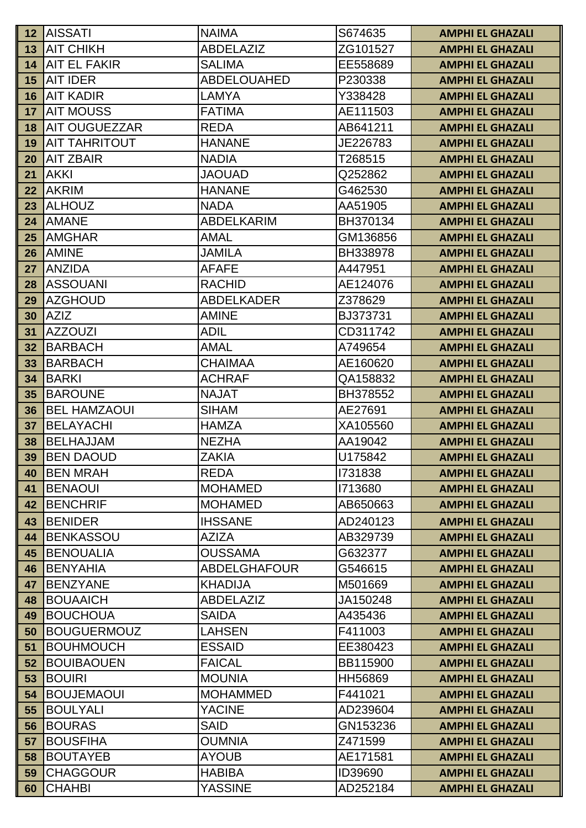| $\vert$ 12 | <b>AISSATI</b>                     | <b>NAIMA</b>                   | S674635             | <b>AMPHI EL GHAZALI</b>                            |
|------------|------------------------------------|--------------------------------|---------------------|----------------------------------------------------|
| 13         | <b>AIT CHIKH</b>                   | ABDELAZIZ                      | ZG101527            | <b>AMPHI EL GHAZALI</b>                            |
| 14         | <b>AIT EL FAKIR</b>                | <b>SALIMA</b>                  | EE558689            | <b>AMPHI EL GHAZALI</b>                            |
| 15         | <b>AIT IDER</b>                    | <b>ABDELOUAHED</b>             | P230338             | <b>AMPHI EL GHAZALI</b>                            |
| 16         | IAIT KADIR                         | LAMYA                          | Y338428             | <b>AMPHI EL GHAZALI</b>                            |
| 17         | <b>AIT MOUSS</b>                   | <b>FATIMA</b>                  | AE111503            | <b>AMPHI EL GHAZALI</b>                            |
| 18         | AIT OUGUEZZAR                      | <b>REDA</b>                    | AB641211            | <b>AMPHI EL GHAZALI</b>                            |
| 19         | <b>AIT TAHRITOUT</b>               | <b>HANANE</b>                  | JE226783            | <b>AMPHI EL GHAZALI</b>                            |
| 20         | <b>AIT ZBAIR</b>                   | <b>NADIA</b>                   | T268515             | <b>AMPHI EL GHAZALI</b>                            |
| 21         | <b>AKKI</b>                        | <b>JAOUAD</b>                  | Q252862             | <b>AMPHI EL GHAZALI</b>                            |
| 22         | <b>AKRIM</b>                       | <b>HANANE</b>                  | G462530             | <b>AMPHI EL GHAZALI</b>                            |
| 23         | <b>ALHOUZ</b>                      | <b>NADA</b>                    | AA51905             | <b>AMPHI EL GHAZALI</b>                            |
| 24         | <b>AMANE</b>                       | <b>ABDELKARIM</b>              | BH370134            | <b>AMPHI EL GHAZALI</b>                            |
| 25         | <b>AMGHAR</b>                      | <b>AMAL</b>                    | GM136856            | <b>AMPHI EL GHAZALI</b>                            |
| 26         | <b>AMINE</b>                       | JAMILA                         | BH338978            | <b>AMPHI EL GHAZALI</b>                            |
| 27         | <b>ANZIDA</b>                      | <b>AFAFE</b>                   | A447951             | <b>AMPHI EL GHAZALI</b>                            |
| 28         | <b>ASSOUANI</b>                    | <b>RACHID</b>                  | AE124076            | <b>AMPHI EL GHAZALI</b>                            |
| 29         | <b>AZGHOUD</b>                     | <b>ABDELKADER</b>              | Z378629             | <b>AMPHI EL GHAZALI</b>                            |
| 30         | <b>AZIZ</b>                        | <b>AMINE</b>                   | BJ373731            | <b>AMPHI EL GHAZALI</b>                            |
| 31         | <b>AZZOUZI</b>                     | <b>ADIL</b>                    | CD311742            | <b>AMPHI EL GHAZALI</b>                            |
| 32         | <b>BARBACH</b>                     | AMAL                           | A749654             | <b>AMPHI EL GHAZALI</b>                            |
| 33         | BARBACH                            | <b>CHAIMAA</b>                 | AE160620            | <b>AMPHI EL GHAZALI</b>                            |
| 34         | <b>BARKI</b>                       | <b>ACHRAF</b>                  | QA158832            | <b>AMPHI EL GHAZALI</b>                            |
| 35         | <b>BAROUNE</b>                     | <b>NAJAT</b>                   | BH378552            | <b>AMPHI EL GHAZALI</b>                            |
| 36         | <b>IBEL HAMZAOUI</b>               | <b>SIHAM</b>                   | AE27691             | <b>AMPHI EL GHAZALI</b>                            |
| 37         | <b>BELAYACHI</b>                   | <b>HAMZA</b>                   | XA105560            | <b>AMPHI EL GHAZALI</b>                            |
| 38         | BELHAJJAM                          | <b>NEZHA</b>                   | AA19042             | <b>AMPHI EL GHAZALI</b>                            |
| 39         | <b>BEN DAOUD</b>                   | <b>ZAKIA</b>                   | U175842             | <b>AMPHI EL GHAZALI</b>                            |
| 40         | <b>BEN MRAH</b>                    | <b>REDA</b>                    | 1731838             | <b>AMPHI EL GHAZALI</b>                            |
| 41         | <b>BENAOUI</b>                     | <b>MOHAMED</b>                 | 1713680             | <b>AMPHI EL GHAZALI</b>                            |
| 42         | <b>BENCHRIF</b>                    | <b>MOHAMED</b>                 | AB650663            | <b>AMPHI EL GHAZALI</b>                            |
| 43         | <b>BENIDER</b>                     | <b>IHSSANE</b>                 | AD240123            | <b>AMPHI EL GHAZALI</b>                            |
| 44         | <b>BENKASSOU</b>                   | <b>AZIZA</b>                   | AB329739            | <b>AMPHI EL GHAZALI</b>                            |
| 45         | <b>BENOUALIA</b>                   | <b>OUSSAMA</b>                 | G632377             | <b>AMPHI EL GHAZALI</b>                            |
| 46         | <b>BENYAHIA</b>                    | <b>ABDELGHAFOUR</b>            | G546615             | <b>AMPHI EL GHAZALI</b>                            |
| 47         | <b>BENZYANE</b>                    | <b>KHADIJA</b>                 | M501669             | <b>AMPHI EL GHAZALI</b>                            |
| 48         | <b>BOUAAICH</b>                    | <b>ABDELAZIZ</b>               | JA150248            | <b>AMPHI EL GHAZALI</b>                            |
| 49         | <b>BOUCHOUA</b>                    | <b>SAIDA</b>                   | A435436             | <b>AMPHI EL GHAZALI</b>                            |
| 50         | <b>BOUGUERMOUZ</b>                 | <b>LAHSEN</b>                  | F411003             | <b>AMPHI EL GHAZALI</b>                            |
| 51         | <b>BOUHMOUCH</b>                   | <b>ESSAID</b>                  | EE380423            | <b>AMPHI EL GHAZALI</b>                            |
| 52         | <b>BOUIBAOUEN</b><br><b>BOUIRI</b> | <b>FAICAL</b><br><b>MOUNIA</b> | BB115900<br>HH56869 | <b>AMPHI EL GHAZALI</b>                            |
| 53<br>54   | <b>BOUJEMAOUI</b>                  | <b>MOHAMMED</b>                | F441021             | <b>AMPHI EL GHAZALI</b><br><b>AMPHI EL GHAZALI</b> |
| 55         | <b>BOULYALI</b>                    | <b>YACINE</b>                  | AD239604            | <b>AMPHI EL GHAZALI</b>                            |
| 56         | <b>BOURAS</b>                      | <b>SAID</b>                    | GN153236            | <b>AMPHI EL GHAZALI</b>                            |
| 57         | <b>BOUSFIHA</b>                    | <b>OUMNIA</b>                  | Z471599             | <b>AMPHI EL GHAZALI</b>                            |
| 58         | <b>BOUTAYEB</b>                    | <b>AYOUB</b>                   | AE171581            | <b>AMPHI EL GHAZALI</b>                            |
| 59         | <b>CHAGGOUR</b>                    | <b>HABIBA</b>                  | ID39690             | <b>AMPHI EL GHAZALI</b>                            |
| 60         | <b>CHAHBI</b>                      | <b>YASSINE</b>                 | AD252184            | <b>AMPHI EL GHAZALI</b>                            |
|            |                                    |                                |                     |                                                    |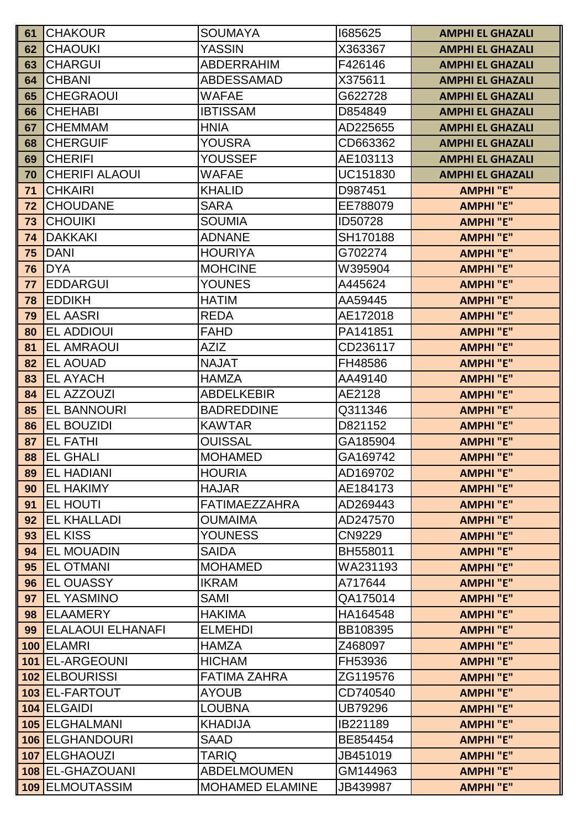| 61  | <b>CHAKOUR</b>           | <b>SOUMAYA</b>         | 1685625        | <b>AMPHI EL GHAZALI</b> |
|-----|--------------------------|------------------------|----------------|-------------------------|
| 62  | <b>CHAOUKI</b>           | YASSIN                 | X363367        | <b>AMPHI EL GHAZALI</b> |
| 63  | <b>CHARGUI</b>           | <b>ABDERRAHIM</b>      | F426146        | <b>AMPHI EL GHAZALI</b> |
| 64  | <b>CHBANI</b>            | <b>ABDESSAMAD</b>      | X375611        | <b>AMPHI EL GHAZALI</b> |
| 65  | <b>CHEGRAOUI</b>         | <b>WAFAE</b>           | G622728        | <b>AMPHI EL GHAZALI</b> |
| 66  | <b>CHEHABI</b>           | <b>IBTISSAM</b>        | D854849        | <b>AMPHI EL GHAZALI</b> |
| 67  | <b>CHEMMAM</b>           | <b>HNIA</b>            | AD225655       | <b>AMPHI EL GHAZALI</b> |
| 68  | <b>CHERGUIF</b>          | YOUSRA                 | CD663362       | <b>AMPHI EL GHAZALI</b> |
| 69  | <b>CHERIFI</b>           | YOUSSEF                | AE103113       | <b>AMPHI EL GHAZALI</b> |
| 70  | <b>CHERIFI ALAOUI</b>    | WAFAE                  | UC151830       | <b>AMPHI EL GHAZALI</b> |
| 71  | <b>CHKAIRI</b>           | <b>KHALID</b>          | D987451        | <b>AMPHI "E"</b>        |
| 72  | <b>CHOUDANE</b>          | <b>SARA</b>            | EE788079       | <b>AMPHI"E"</b>         |
| 73  | <b>CHOUIKI</b>           | <b>SOUMIA</b>          | ID50728        | <b>AMPHI"E"</b>         |
| 74  | <b>DAKKAKI</b>           | <b>ADNANE</b>          | SH170188       | <b>AMPHI"E"</b>         |
| 75  | <b>DANI</b>              | <b>HOURIYA</b>         | G702274        | <b>AMPHI"E"</b>         |
| 76  | <b>DYA</b>               | <b>MOHCINE</b>         | W395904        | <b>AMPHI"E"</b>         |
| 77  | <b>EDDARGUI</b>          | <b>YOUNES</b>          | A445624        | <b>AMPHI"E"</b>         |
| 78  | <b>EDDIKH</b>            | <b>HATIM</b>           | AA59445        | <b>AMPHI "E"</b>        |
| 79  | <b>EL AASRI</b>          | <b>REDA</b>            | AE172018       | <b>AMPHI"E"</b>         |
| 80  | <b>EL ADDIOUI</b>        | <b>FAHD</b>            | PA141851       | <b>AMPHI</b> "E"        |
| 81  | <b>EL AMRAOUI</b>        | <b>AZIZ</b>            | CD236117       | <b>AMPHI "E"</b>        |
| 82  | <b>EL AOUAD</b>          | <b>NAJAT</b>           | FH48586        | <b>AMPHI"E"</b>         |
| 83  | <b>EL AYACH</b>          | <b>HAMZA</b>           | AA49140        | <b>AMPHI"E"</b>         |
| 84  | EL AZZOUZI               | <b>ABDELKEBIR</b>      | AE2128         | <b>AMPHI "E"</b>        |
| 85  | <b>EL BANNOURI</b>       | <b>BADREDDINE</b>      | Q311346        | <b>AMPHI"E"</b>         |
| 86  | <b>EL BOUZIDI</b>        | <b>KAWTAR</b>          | D821152        | <b>AMPHI"E"</b>         |
| 87  | <b>EL FATHI</b>          | <b>OUISSAL</b>         | GA185904       | <b>AMPHI "E"</b>        |
| 88  | <b>EL GHALI</b>          | <b>MOHAMED</b>         | GA169742       | <b>AMPHI"E"</b>         |
| 89  | <b>EL HADIANI</b>        | <b>HOURIA</b>          | AD169702       | <b>AMPHI"E"</b>         |
| 90  | <b>EL HAKIMY</b>         | <b>HAJAR</b>           | AE184173       | <b>AMPHI "E"</b>        |
| 91  | EL HOUTI                 | <b>FATIMAEZZAHRA</b>   | AD269443       | <b>AMPHI"E"</b>         |
| 92  | <b>EL KHALLADI</b>       | <b>OUMAIMA</b>         | AD247570       | <b>AMPHI</b> "E"        |
| 93  | <b>EL KISS</b>           | <b>YOUNESS</b>         | CN9229         | <b>AMPHI "E"</b>        |
| 94  | <b>EL MOUADIN</b>        | SAIDA                  | BH558011       | <b>AMPHI"E"</b>         |
| 95  | <b>EL OTMANI</b>         | <b>MOHAMED</b>         | WA231193       | <b>AMPHI "E"</b>        |
| 96  | <b>EL OUASSY</b>         | <b>IKRAM</b>           | A717644        | <b>AMPHI "E"</b>        |
| 97  | <b>EL YASMINO</b>        | SAMI                   | QA175014       | <b>AMPHI"E"</b>         |
| 98  | <b>ELAAMERY</b>          | <b>HAKIMA</b>          | HA164548       | <b>AMPHI "E"</b>        |
| 99  | <b>ELALAOUI ELHANAFI</b> | <b>ELMEHDI</b>         | BB108395       | <b>AMPHI</b> "E"        |
| 100 | <b>ELAMRI</b>            | <b>HAMZA</b>           | Z468097        | <b>AMPHI"E"</b>         |
|     | 101 EL-ARGEOUNI          | <b>HICHAM</b>          | FH53936        | <b>AMPHI</b> "E"        |
|     | 102 ELBOURISSI           | <b>FATIMA ZAHRA</b>    | ZG119576       | <b>AMPHI</b> "E"        |
|     | 103 EL-FARTOUT           | AYOUB                  | CD740540       | <b>AMPHI</b> "E"        |
|     | 104 ELGAIDI              | <b>LOUBNA</b>          | <b>UB79296</b> | <b>AMPHI"E"</b>         |
|     | 105 ELGHALMANI           | <b>KHADIJA</b>         | IB221189       | <b>AMPHI "E"</b>        |
|     | 106 ELGHANDOURI          | SAAD                   | BE854454       | <b>AMPHI"E"</b>         |
|     | 107 ELGHAOUZI            | TARIQ                  | JB451019       | <b>AMPHI"E"</b>         |
|     | 108 EL-GHAZOUANI         | <b>ABDELMOUMEN</b>     | GM144963       | <b>AMPHI"E"</b>         |
|     | 109 ELMOUTASSIM          | <b>MOHAMED ELAMINE</b> | JB439987       | <b>AMPHI"E"</b>         |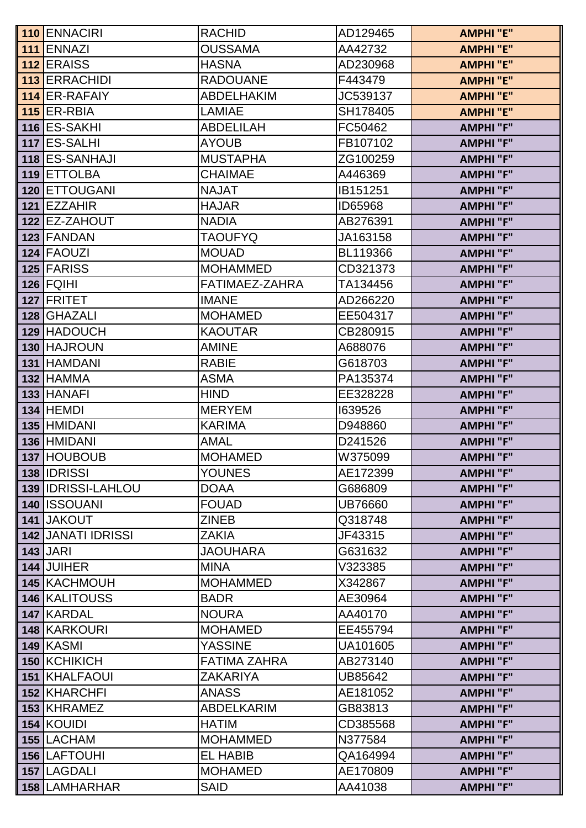| 110 ENNACIRI              | <b>RACHID</b>       | AD129465       | <b>AMPHI "E"</b> |
|---------------------------|---------------------|----------------|------------------|
| 111 ENNAZI                | <b>OUSSAMA</b>      | AA42732        | <b>AMPHI"E"</b>  |
| 112 ERAISS                | <b>HASNA</b>        | AD230968       | <b>AMPHI</b> "E" |
| 113 ERRACHIDI             | <b>RADOUANE</b>     | F443479        | <b>AMPHI "E"</b> |
| 114 ER-RAFAIY             | <b>ABDELHAKIM</b>   | JC539137       | <b>AMPHI</b> "E" |
| <b>115 ER-RBIA</b>        | <b>LAMIAE</b>       | SH178405       | <b>AMPHI"E"</b>  |
| 116 ES-SAKHI              | <b>ABDELILAH</b>    | FC50462        | <b>AMPHI "F"</b> |
| 117 ES-SALHI              | <b>AYOUB</b>        | FB107102       | <b>AMPHI"F"</b>  |
| 118 ES-SANHAJI            | <b>MUSTAPHA</b>     | ZG100259       | <b>AMPHI "F"</b> |
| 119 ETTOLBA               | <b>CHAIMAE</b>      | A446369        | <b>AMPHI "F"</b> |
| 120 ETTOUGANI             | <b>NAJAT</b>        | IB151251       | <b>AMPHI "F"</b> |
| 121 EZZAHIR               | <b>HAJAR</b>        | ID65968        | <b>AMPHI "F"</b> |
| 122 EZ-ZAHOUT             | <b>NADIA</b>        | AB276391       | <b>AMPHI "F"</b> |
| 123 FANDAN                | <b>TAOUFYQ</b>      | JA163158       | <b>AMPHI "F"</b> |
| 124 FAOUZI                | <b>MOUAD</b>        | BL119366       | <b>AMPHI "F"</b> |
| 125 FARISS                | <b>MOHAMMED</b>     | CD321373       | <b>AMPHI "F"</b> |
| $126$ FQIHI               | FATIMAEZ-ZAHRA      | TA134456       | <b>AMPHI "F"</b> |
| 127 FRITET                | <b>IMANE</b>        | AD266220       | <b>AMPHI"F"</b>  |
| 128 GHAZALI               | <b>MOHAMED</b>      | EE504317       | <b>AMPHI "F"</b> |
| 129 HADOUCH               | <b>KAOUTAR</b>      | CB280915       | <b>AMPHI "F"</b> |
| 130 HAJROUN               | <b>AMINE</b>        | A688076        | <b>AMPHI "F"</b> |
| 131 HAMDANI               | <b>RABIE</b>        | G618703        | <b>AMPHI"F"</b>  |
| 132 HAMMA                 | <b>ASMA</b>         | PA135374       | <b>AMPHI "F"</b> |
| 133 HANAFI                | <b>HIND</b>         | EE328228       | <b>AMPHI"F"</b>  |
| <b>134 HEMDI</b>          | <b>MERYEM</b>       | 1639526        | <b>AMPHI "F"</b> |
| 135 HMIDANI               | <b>KARIMA</b>       | D948860        | <b>AMPHI "F"</b> |
| 136 HMIDANI               | AMAL                | D241526        | <b>AMPHI "F"</b> |
| 137 HOUBOUB               | <b>MOHAMED</b>      | W375099        | <b>AMPHI"F"</b>  |
| 138 <b>IDRISSI</b>        | <b>YOUNES</b>       | AE172399       | <b>AMPHI "F"</b> |
| 139 IDRISSI-LAHLOU        | <b>DOAA</b>         | G686809        | <b>AMPHI "F"</b> |
| 140 <b>ISSOUANI</b>       | <b>FOUAD</b>        | <b>UB76660</b> | <b>AMPHI "F"</b> |
| 141 JAKOUT                | <b>ZINEB</b>        | Q318748        | <b>AMPHI "F"</b> |
| <b>142 JANATI IDRISSI</b> | ZAKIA               | JF43315        | <b>AMPHI "F"</b> |
| $143$ JARI                | <b>JAOUHARA</b>     | G631632        | <b>AMPHI "F"</b> |
| 144 JUIHER                | <b>MINA</b>         | V323385        | <b>AMPHI "F"</b> |
| 145 KACHMOUH              | <b>MOHAMMED</b>     | X342867        | <b>AMPHI "F"</b> |
| <b>146 KALITOUSS</b>      | <b>BADR</b>         | AE30964        | <b>AMPHI "F"</b> |
| 147 KARDAL                | <b>NOURA</b>        | AA40170        | <b>AMPHI "F"</b> |
| <b>148 KARKOURI</b>       | <b>MOHAMED</b>      | EE455794       | <b>AMPHI "F"</b> |
| <b>149 KASMI</b>          | <b>YASSINE</b>      | UA101605       | <b>AMPHI "F"</b> |
| 150 KCHIKICH              | <b>FATIMA ZAHRA</b> | AB273140       | <b>AMPHI "F"</b> |
| 151 KHALFAOUI             | ZAKARIYA            | UB85642        | <b>AMPHI "F"</b> |
| <b>152 KHARCHFI</b>       | <b>ANASS</b>        | AE181052       | <b>AMPHI "F"</b> |
| 153 KHRAMEZ               | <b>ABDELKARIM</b>   | GB83813        | <b>AMPHI "F"</b> |
| 154 KOUIDI                | <b>HATIM</b>        | CD385568       | <b>AMPHI "F"</b> |
| 155 LACHAM                | <b>MOHAMMED</b>     | N377584        | <b>AMPHI "F"</b> |
| <b>156 LAFTOUHI</b>       | <b>EL HABIB</b>     | QA164994       | <b>AMPHI "F"</b> |
| 157 LAGDALI               | <b>MOHAMED</b>      | AE170809       | <b>AMPHI "F"</b> |
| 158   LAMHARHAR           | <b>SAID</b>         | AA41038        | <b>AMPHI "F"</b> |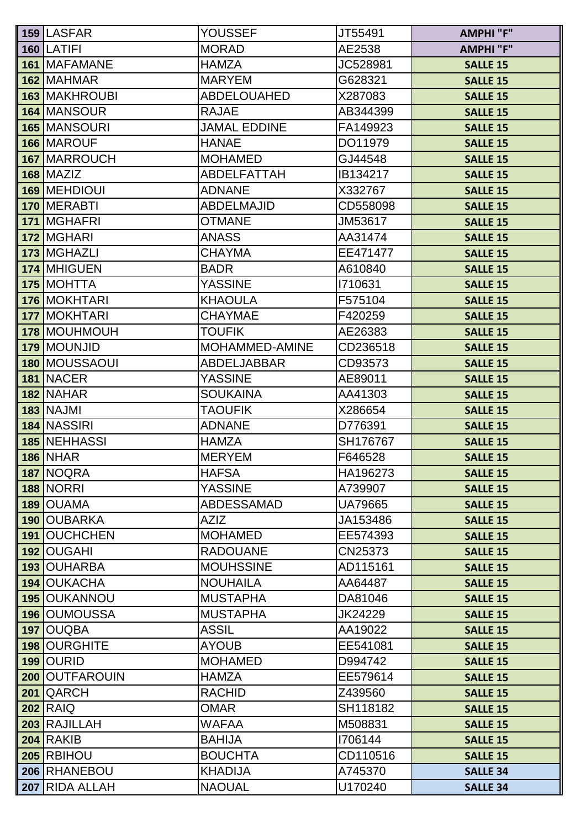| <b>159 LASFAR</b>    | <b>YOUSSEF</b>      | JT55491        | <b>AMPHI "F"</b> |
|----------------------|---------------------|----------------|------------------|
| 160 LATIFI           | <b>MORAD</b>        | AE2538         | <b>AMPHI "F"</b> |
| 161 MAFAMANE         | <b>HAMZA</b>        | JC528981       | <b>SALLE 15</b>  |
| 162 MAHMAR           | <b>MARYEM</b>       | G628321        | <b>SALLE 15</b>  |
| <b>163 MAKHROUBI</b> | <b>ABDELOUAHED</b>  | X287083        | <b>SALLE 15</b>  |
| 164 MANSOUR          | <b>RAJAE</b>        | AB344399       | <b>SALLE 15</b>  |
| 165 MANSOURI         | <b>JAMAL EDDINE</b> | FA149923       | <b>SALLE 15</b>  |
| 166 MAROUF           | <b>HANAE</b>        | DO11979        | <b>SALLE 15</b>  |
| 167 MARROUCH         | <b>MOHAMED</b>      | GJ44548        | <b>SALLE 15</b>  |
| <b>168 MAZIZ</b>     | <b>ABDELFATTAH</b>  | IB134217       | <b>SALLE 15</b>  |
| 169 MEHDIOUI         | <b>ADNANE</b>       | X332767        | <b>SALLE 15</b>  |
| 170 MERABTI          | <b>ABDELMAJID</b>   | CD558098       | <b>SALLE 15</b>  |
| 171   MGHAFRI        | <b>OTMANE</b>       | JM53617        | <b>SALLE 15</b>  |
| 172 MGHARI           | <b>ANASS</b>        | AA31474        | <b>SALLE 15</b>  |
| 173 MGHAZLI          | <b>CHAYMA</b>       | EE471477       | <b>SALLE 15</b>  |
| 174 MHIGUEN          | <b>BADR</b>         | A610840        | <b>SALLE 15</b>  |
| 175 MOHTTA           | <b>YASSINE</b>      | 1710631        | <b>SALLE 15</b>  |
| 176 MOKHTARI         | <b>KHAOULA</b>      | F575104        | <b>SALLE 15</b>  |
| 177 MOKHTARI         | <b>CHAYMAE</b>      | F420259        | <b>SALLE 15</b>  |
| 178 MOUHMOUH         | <b>TOUFIK</b>       | AE26383        | <b>SALLE 15</b>  |
| 179 MOUNJID          | MOHAMMED-AMINE      | CD236518       | <b>SALLE 15</b>  |
| 180   MOUSSAOUI      | <b>ABDELJABBAR</b>  | CD93573        | <b>SALLE 15</b>  |
| 181 NACER            | YASSINE             | AE89011        | <b>SALLE 15</b>  |
| 182 NAHAR            | <b>SOUKAINA</b>     | AA41303        | <b>SALLE 15</b>  |
| <b>183 NAJMI</b>     | <b>TAOUFIK</b>      | X286654        | <b>SALLE 15</b>  |
| 184 NASSIRI          | <b>ADNANE</b>       | D776391        | <b>SALLE 15</b>  |
| <b>185 NEHHASSI</b>  | <b>HAMZA</b>        | SH176767       | <b>SALLE 15</b>  |
| <b>186 NHAR</b>      | <b>MERYEM</b>       | F646528        | <b>SALLE 15</b>  |
| 187 NOQRA            | <b>HAFSA</b>        | HA196273       | <b>SALLE 15</b>  |
| <b>188 NORRI</b>     | <b>YASSINE</b>      | A739907        | <b>SALLE 15</b>  |
| 189 OUAMA            | <b>ABDESSAMAD</b>   | <b>UA79665</b> | <b>SALLE 15</b>  |
| 190 OUBARKA          | <b>AZIZ</b>         | JA153486       | <b>SALLE 15</b>  |
| <b>191 OUCHCHEN</b>  | <b>MOHAMED</b>      | EE574393       | <b>SALLE 15</b>  |
| 192 OUGAHI           | <b>RADOUANE</b>     | CN25373        | <b>SALLE 15</b>  |
| 193 OUHARBA          | <b>MOUHSSINE</b>    | AD115161       | <b>SALLE 15</b>  |
| 194 OUKACHA          | <b>NOUHAILA</b>     | AA64487        | <b>SALLE 15</b>  |
| <b>195 OUKANNOU</b>  | <b>MUSTAPHA</b>     | DA81046        | <b>SALLE 15</b>  |
| 196 OUMOUSSA         | <b>MUSTAPHA</b>     | JK24229        | <b>SALLE 15</b>  |
| 197 OUQBA            | <b>ASSIL</b>        | AA19022        | <b>SALLE 15</b>  |
| 198 OURGHITE         | <b>AYOUB</b>        | EE541081       | <b>SALLE 15</b>  |
| 199 OURID            | <b>MOHAMED</b>      | D994742        | <b>SALLE 15</b>  |
| 200 OUTFAROUIN       | <b>HAMZA</b>        | EE579614       | <b>SALLE 15</b>  |
| 201 QARCH            | <b>RACHID</b>       | Z439560        | <b>SALLE 15</b>  |
| <b>202 RAIQ</b>      | <b>OMAR</b>         | SH118182       | <b>SALLE 15</b>  |
| 203 RAJILLAH         | WAFAA               | M508831        | <b>SALLE 15</b>  |
| <b>204 RAKIB</b>     | <b>BAHIJA</b>       | 1706144        | <b>SALLE 15</b>  |
| 205 RBIHOU           | <b>BOUCHTA</b>      | CD110516       | <b>SALLE 15</b>  |
| 206 RHANEBOU         | <b>KHADIJA</b>      | A745370        | <b>SALLE 34</b>  |
| 207 RIDA ALLAH       | <b>NAOUAL</b>       | U170240        | <b>SALLE 34</b>  |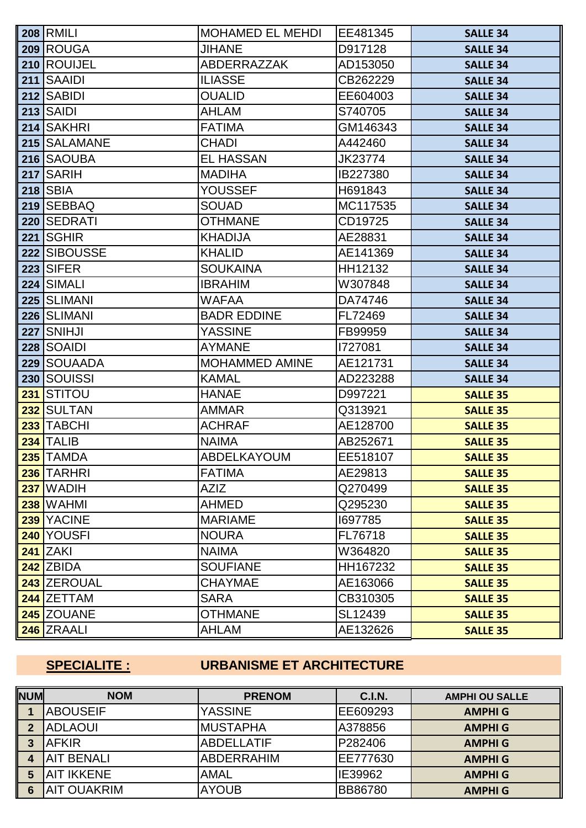|     | <b>208 RMILI</b> | <b>MOHAMED EL MEHDI</b> | EE481345 | <b>SALLE 34</b> |
|-----|------------------|-------------------------|----------|-----------------|
|     | 209 ROUGA        | <b>JIHANE</b>           | D917128  | <b>SALLE 34</b> |
|     | 210 ROUIJEL      | <b>ABDERRAZZAK</b>      | AD153050 | <b>SALLE 34</b> |
|     | 211 SAAIDI       | <b>ILIASSE</b>          | CB262229 | <b>SALLE 34</b> |
|     | 212 SABIDI       | <b>OUALID</b>           | EE604003 | <b>SALLE 34</b> |
|     | <b>213 SAIDI</b> | <b>AHLAM</b>            | S740705  | <b>SALLE 34</b> |
|     | 214 SAKHRI       | <b>FATIMA</b>           | GM146343 | <b>SALLE 34</b> |
|     | 215 SALAMANE     | <b>CHADI</b>            | A442460  | <b>SALLE 34</b> |
|     | 216 SAOUBA       | <b>EL HASSAN</b>        | JK23774  | <b>SALLE 34</b> |
|     | 217 SARIH        | <b>MADIHA</b>           | IB227380 | <b>SALLE 34</b> |
|     | <b>218 SBIA</b>  | <b>YOUSSEF</b>          | H691843  | <b>SALLE 34</b> |
|     | 219 SEBBAQ       | <b>SOUAD</b>            | MC117535 | <b>SALLE 34</b> |
|     | 220 SEDRATI      | <b>OTHMANE</b>          | CD19725  | <b>SALLE 34</b> |
| 221 | <b>ISGHIR</b>    | <b>KHADIJA</b>          | AE28831  | <b>SALLE 34</b> |
|     | 222 SIBOUSSE     | <b>KHALID</b>           | AE141369 | <b>SALLE 34</b> |
|     | <b>223 SIFER</b> | <b>SOUKAINA</b>         | HH12132  | <b>SALLE 34</b> |
|     | 224 SIMALI       | <b>IBRAHIM</b>          | W307848  | <b>SALLE 34</b> |
|     | 225 SLIMANI      | <b>WAFAA</b>            | DA74746  | <b>SALLE 34</b> |
|     | 226 SLIMANI      | <b>BADR EDDINE</b>      | FL72469  | <b>SALLE 34</b> |
| 227 | SNIHJI           | <b>YASSINE</b>          | FB99959  | <b>SALLE 34</b> |
|     | 228 SOAIDI       | <b>AYMANE</b>           | 1727081  | <b>SALLE 34</b> |
|     | 229 SOUAADA      | <b>MOHAMMED AMINE</b>   | AE121731 | <b>SALLE 34</b> |
|     | 230 SOUISSI      | <b>KAMAL</b>            | AD223288 | <b>SALLE 34</b> |
| 231 | <b>STITOU</b>    | <b>HANAE</b>            | D997221  | <b>SALLE 35</b> |
|     | 232 SULTAN       | <b>AMMAR</b>            | Q313921  | <b>SALLE 35</b> |
| 233 | <b>TABCHI</b>    | <b>ACHRAF</b>           | AE128700 | <b>SALLE 35</b> |
|     | $234$ TALIB      | <b>NAIMA</b>            | AB252671 | <b>SALLE 35</b> |
|     | 235 TAMDA        | ABDELKAYOUM             | EE518107 | <b>SALLE 35</b> |
|     | 236 TARHRI       | <b>FATIMA</b>           | AE29813  | <b>SALLE 35</b> |
|     | $237$ WADIH      | <b>AZIZ</b>             | Q270499  | <b>SALLE 35</b> |
|     | <b>238 WAHMI</b> | <b>AHMED</b>            | Q295230  | <b>SALLE 35</b> |
|     | 239 YACINE       | <b>MARIAME</b>          | 1697785  | <b>SALLE 35</b> |
|     | 240 YOUSFI       | <b>NOURA</b>            | FL76718  | <b>SALLE 35</b> |
|     | <b>241 ZAKI</b>  | <b>NAIMA</b>            | W364820  | <b>SALLE 35</b> |
|     | $242$ ZBIDA      | <b>SOUFIANE</b>         | HH167232 | <b>SALLE 35</b> |
|     | 243 ZEROUAL      | <b>CHAYMAE</b>          | AE163066 | <b>SALLE 35</b> |
|     | 244 ZETTAM       | <b>SARA</b>             | CB310305 | <b>SALLE 35</b> |
|     | 245 ZOUANE       | <b>OTHMANE</b>          | SL12439  | <b>SALLE 35</b> |
|     | 246 ZRAALI       | AHLAM                   | AE132626 | <b>SALLE 35</b> |

# **SPECIALITE : URBANISME ET ARCHITECTURE**

| <b>NUM</b>     | <b>NOM</b>         | <b>PRENOM</b>     | <b>C.I.N.</b>  | <b>AMPHI OU SALLE</b> |
|----------------|--------------------|-------------------|----------------|-----------------------|
|                | <b>ABOUSEIF</b>    | <b>YASSINE</b>    | EE609293       | <b>AMPHI G</b>        |
| $\overline{2}$ | <b>ADLAOUI</b>     | <b>IMUSTAPHA</b>  | A378856        | <b>AMPHI G</b>        |
| 3              | <b>IAFKIR</b>      | <b>ABDELLATIF</b> | P282406        | <b>AMPHI G</b>        |
| 4              | <b>AIT BENALI</b>  | <b>ABDERRAHIM</b> | EE777630       | <b>AMPHI G</b>        |
| 5              | <b>AIT IKKENE</b>  | <b>AMAL</b>       | IE39962        | <b>AMPHI G</b>        |
| 6              | <b>AIT OUAKRIM</b> | <b>AYOUB</b>      | <b>BB86780</b> | <b>AMPHI G</b>        |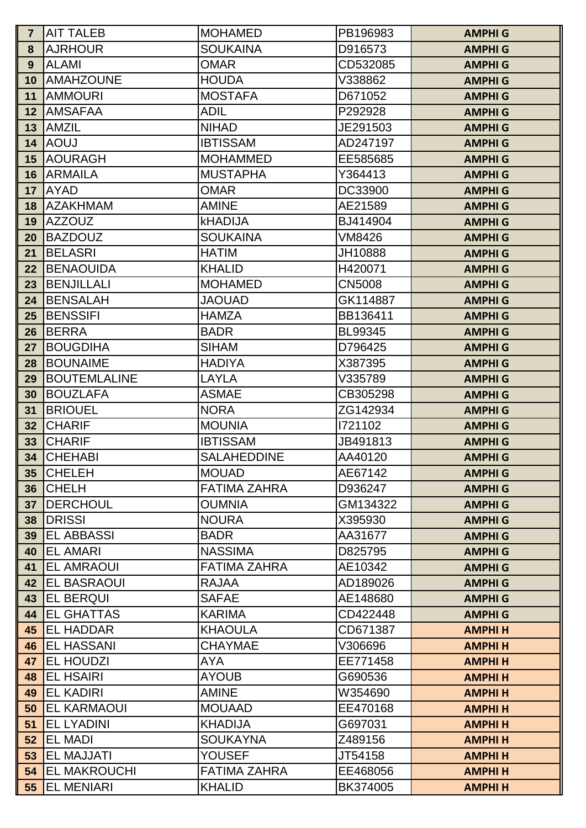| $\mathsf{I}$ 7  | <b>AIT TALEB</b>                     | <b>MOHAMED</b>                    | PB196983           | <b>AMPHI G</b> |
|-----------------|--------------------------------------|-----------------------------------|--------------------|----------------|
| 8               | <b>AJRHOUR</b>                       | <b>SOUKAINA</b>                   | D916573            | <b>AMPHI G</b> |
| 9               | <b>ALAMI</b>                         | <b>OMAR</b>                       | CD532085           | <b>AMPHI G</b> |
| 10              | <b>AMAHZOUNE</b>                     | <b>HOUDA</b>                      | V338862            | <b>AMPHI G</b> |
| 11              | <b>AMMOURI</b>                       | <b>MOSTAFA</b>                    | D671052            | <b>AMPHI G</b> |
| 12              | <b>AMSAFAA</b>                       | <b>ADIL</b>                       | P292928            | <b>AMPHI G</b> |
| 13              | <b>AMZIL</b>                         | <b>NIHAD</b>                      | JE291503           | <b>AMPHI G</b> |
| 14              | <b>AOUJ</b>                          | <b>IBTISSAM</b>                   | AD247197           | <b>AMPHI G</b> |
| 15              | <b>AOURAGH</b>                       | <b>MOHAMMED</b>                   | EE585685           | <b>AMPHI G</b> |
| 16              | <b>ARMAILA</b>                       | <b>MUSTAPHA</b>                   | Y364413            | <b>AMPHI G</b> |
| 17              | <b>AYAD</b>                          | <b>OMAR</b>                       | DC33900            | <b>AMPHI G</b> |
| 18              | <b>AZAKHMAM</b>                      | <b>AMINE</b>                      | AE21589            | <b>AMPHI G</b> |
| 19              | <b>AZZOUZ</b>                        | <b>kHADIJA</b>                    | BJ414904           | <b>AMPHI G</b> |
| 20              | <b>BAZDOUZ</b>                       | <b>SOUKAINA</b>                   | <b>VM8426</b>      | <b>AMPHI G</b> |
| 21              | <b>BELASRI</b>                       | <b>HATIM</b>                      | JH10888            | <b>AMPHI G</b> |
| 22              | <b>BENAOUIDA</b>                     | <b>KHALID</b>                     | H420071            | <b>AMPHI G</b> |
| 23              | BENJILLALI                           | <b>MOHAMED</b>                    | <b>CN5008</b>      | <b>AMPHI G</b> |
| 24              | BENSALAH                             | <b>JAOUAD</b>                     | GK114887           | <b>AMPHI G</b> |
| 25              | <b>BENSSIFI</b>                      | <b>HAMZA</b>                      | BB136411           | <b>AMPHI G</b> |
| 26              | BERRA                                | <b>BADR</b>                       | BL99345            | <b>AMPHI G</b> |
| 27              | <b>BOUGDIHA</b>                      | <b>SIHAM</b>                      | D796425            | <b>AMPHI G</b> |
| 28              | <b>BOUNAIME</b>                      | <b>HADIYA</b>                     | X387395            | <b>AMPHI G</b> |
| 29              | <b>BOUTEMLALINE</b>                  | LAYLA                             | V335789            | <b>AMPHI G</b> |
| 30              | <b>BOUZLAFA</b>                      | <b>ASMAE</b>                      | CB305298           | <b>AMPHI G</b> |
| 31              | <b>BRIOUEL</b>                       | <b>NORA</b>                       | ZG142934           | <b>AMPHI G</b> |
| 32              | <b>CHARIF</b>                        | <b>MOUNIA</b>                     | 1721102            | <b>AMPHI G</b> |
| 33              | <b>CHARIF</b>                        | <b>IBTISSAM</b>                   | JB491813           | <b>AMPHI G</b> |
| 34              | <b>CHEHABI</b>                       | <b>SALAHEDDINE</b>                | AA40120            | <b>AMPHI G</b> |
| 35 <sub>5</sub> | <b>CHELEH</b>                        | <b>MOUAD</b>                      | AE67142            | <b>AMPHI G</b> |
| 36              | <b>CHELH</b>                         | <b>FATIMA ZAHRA</b>               | D936247            | <b>AMPHI G</b> |
| 37              | <b>IDERCHOUL</b>                     | <b>OUMNIA</b>                     | GM134322           | <b>AMPHI G</b> |
| 38              | <b>DRISSI</b>                        | <b>NOURA</b>                      | X395930            | <b>AMPHI G</b> |
| 39              | <b>IEL ABBASSI</b>                   | <b>BADR</b>                       | AA31677            | <b>AMPHI G</b> |
| 40              | <b>IEL AMARI</b>                     | <b>NASSIMA</b>                    | D825795            | <b>AMPHI G</b> |
| 41              | <b>IEL AMRAOUI</b>                   | <b>FATIMA ZAHRA</b>               | AE10342            | <b>AMPHI G</b> |
| 42              | <b>IEL BASRAOUI</b>                  | <b>RAJAA</b>                      | AD189026           | <b>AMPHI G</b> |
| 43              | <b>IEL BERQUI</b>                    | <b>SAFAE</b>                      | AE148680           | <b>AMPHI G</b> |
| 44              | <b>IEL GHATTAS</b>                   | <b>KARIMA</b>                     | CD422448           | <b>AMPHI G</b> |
| 45              | <b>EL HADDAR</b>                     | <b>KHAOULA</b>                    | CD671387           | <b>AMPHIH</b>  |
| 46              | <b>EL HASSANI</b>                    | <b>CHAYMAE</b>                    | V306696            | <b>AMPHIH</b>  |
| 47              | <b>EL HOUDZI</b>                     | AYA                               | EE771458           | <b>AMPHIH</b>  |
| 48              | <b>EL HSAIRI</b><br><b>EL KADIRI</b> | <b>AYOUB</b><br><b>AMINE</b>      | G690536<br>W354690 | <b>AMPHIH</b>  |
| 49              |                                      |                                   |                    | <b>AMPHIH</b>  |
| 50              | <b>EL KARMAOUI</b>                   | <b>MOUAAD</b>                     | EE470168           | <b>AMPHIH</b>  |
| 51              | <b>EL LYADINI</b><br><b>EL MADI</b>  | <b>KHADIJA</b><br><b>SOUKAYNA</b> | G697031<br>Z489156 | <b>AMPHIH</b>  |
| 52              | <b>EL MAJJATI</b>                    | <b>YOUSEF</b>                     | JT54158            | <b>AMPHIH</b>  |
| 53              |                                      | <b>FATIMA ZAHRA</b>               |                    | <b>AMPHIH</b>  |
| 54              | <b>EL MAKROUCHI</b>                  |                                   | EE468056           | <b>AMPHIH</b>  |
| 55              | <b>EL MENIARI</b>                    | <b>KHALID</b>                     | BK374005           | <b>AMPHIH</b>  |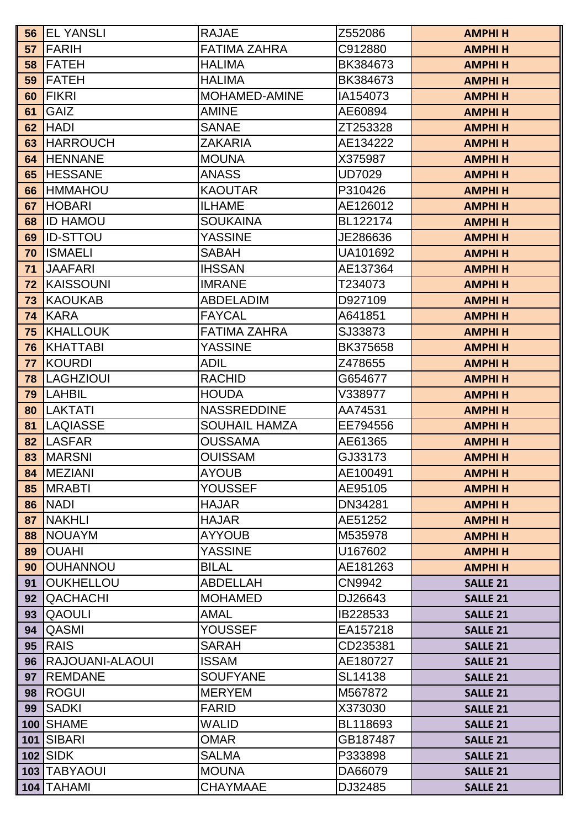| 56 | <b>IEL YANSLI</b> | <b>RAJAE</b>         | Z552086        | <b>AMPHIH</b>   |
|----|-------------------|----------------------|----------------|-----------------|
| 57 | FARIH             | <b>FATIMA ZAHRA</b>  | C912880        | <b>AMPHIH</b>   |
| 58 | FATEH             | <b>HALIMA</b>        | BK384673       | <b>AMPHIH</b>   |
| 59 | <b>IFATEH</b>     | <b>HALIMA</b>        | BK384673       | <b>AMPHIH</b>   |
| 60 | FIKRI             | <b>MOHAMED-AMINE</b> | IA154073       | <b>AMPHIH</b>   |
| 61 | <b>GAIZ</b>       | <b>AMINE</b>         | AE60894        | <b>AMPHIH</b>   |
| 62 | <b>HADI</b>       | <b>SANAE</b>         | ZT253328       | <b>AMPHIH</b>   |
| 63 | <b>HARROUCH</b>   | <b>ZAKARIA</b>       | AE134222       | <b>AMPHIH</b>   |
| 64 | <b>HENNANE</b>    | <b>MOUNA</b>         | X375987        | <b>AMPHIH</b>   |
| 65 | <b>HESSANE</b>    | <b>ANASS</b>         | <b>UD7029</b>  | <b>AMPHIH</b>   |
| 66 | <b>IHMMAHOU</b>   | <b>KAOUTAR</b>       | P310426        | <b>AMPHIH</b>   |
| 67 | <b>HOBARI</b>     | <b>ILHAME</b>        | AE126012       | <b>AMPHIH</b>   |
| 68 | <b>ID HAMOU</b>   | <b>SOUKAINA</b>      | BL122174       | <b>AMPHIH</b>   |
| 69 | <b>IID-STTOU</b>  | <b>YASSINE</b>       | JE286636       | <b>AMPHIH</b>   |
| 70 | <b>ISMAELI</b>    | <b>SABAH</b>         | UA101692       | <b>AMPHIH</b>   |
| 71 | <b>JAAFARI</b>    | <b>IHSSAN</b>        | AE137364       | <b>AMPHIH</b>   |
| 72 | <b>KAISSOUNI</b>  | <b>IMRANE</b>        | T234073        | <b>AMPHIH</b>   |
| 73 | IKAOUKAB          | <b>ABDELADIM</b>     | D927109        | <b>AMPHIH</b>   |
| 74 | KARA              | <b>FAYCAL</b>        | A641851        | <b>AMPHIH</b>   |
| 75 | KHALLOUK          | <b>FATIMA ZAHRA</b>  | SJ33873        | <b>AMPHIH</b>   |
| 76 | <b>KHATTABI</b>   | <b>YASSINE</b>       | BK375658       | <b>AMPHIH</b>   |
| 77 | <b>KOURDI</b>     | ADIL                 | Z478655        | <b>AMPHIH</b>   |
| 78 | <b>LAGHZIOUI</b>  | <b>RACHID</b>        | G654677        | <b>AMPHIH</b>   |
| 79 | <b>LAHBIL</b>     | <b>HOUDA</b>         | V338977        | <b>AMPHIH</b>   |
| 80 | <b>LAKTATI</b>    | <b>NASSREDDINE</b>   | AA74531        | <b>AMPHIH</b>   |
| 81 | <b>LAQIASSE</b>   | <b>SOUHAIL HAMZA</b> | EE794556       | <b>AMPHIH</b>   |
| 82 | <b>LASFAR</b>     | <b>OUSSAMA</b>       | AE61365        | <b>AMPHIH</b>   |
| 83 | <b>MARSNI</b>     | <b>OUISSAM</b>       | GJ33173        | <b>AMPHIH</b>   |
| 84 | <b>IMEZIANI</b>   | <b>AYOUB</b>         | AE100491       | <b>AMPHIH</b>   |
| 85 | <b>MRABTI</b>     | <b>YOUSSEF</b>       | AE95105        | <b>AMPHIH</b>   |
| 86 | <b>INADI</b>      | <b>HAJAR</b>         | <b>DN34281</b> | <b>AMPHIH</b>   |
| 87 | <b>NAKHLI</b>     | <b>HAJAR</b>         | AE51252        | <b>AMPHIH</b>   |
| 88 | <b>NOUAYM</b>     | <b>AYYOUB</b>        | M535978        | <b>AMPHIH</b>   |
| 89 | <b>OUAHI</b>      | <b>YASSINE</b>       | U167602        | <b>AMPHIH</b>   |
| 90 | <b>OUHANNOU</b>   | <b>BILAL</b>         | AE181263       | <b>AMPHIH</b>   |
| 91 | <b>OUKHELLOU</b>  | <b>ABDELLAH</b>      | CN9942         | <b>SALLE 21</b> |
| 92 | <b>QACHACHI</b>   | <b>MOHAMED</b>       | DJ26643        | <b>SALLE 21</b> |
| 93 | <b>QAOULI</b>     | <b>AMAL</b>          | IB228533       | <b>SALLE 21</b> |
| 94 | QASMI             | <b>YOUSSEF</b>       | EA157218       | <b>SALLE 21</b> |
| 95 | <b>RAIS</b>       | <b>SARAH</b>         | CD235381       | <b>SALLE 21</b> |
| 96 | RAJOUANI-ALAOUI   | <b>ISSAM</b>         | AE180727       | <b>SALLE 21</b> |
| 97 | <b>REMDANE</b>    | <b>SOUFYANE</b>      | SL14138        | <b>SALLE 21</b> |
| 98 | <b>ROGUI</b>      | <b>MERYEM</b>        | M567872        | <b>SALLE 21</b> |
| 99 | <b>SADKI</b>      | <b>FARID</b>         | X373030        | <b>SALLE 21</b> |
|    | 100 SHAME         | <b>WALID</b>         | BL118693       | <b>SALLE 21</b> |
|    | 101 SIBARI        | <b>OMAR</b>          | GB187487       | <b>SALLE 21</b> |
|    | $102$ SIDK        | <b>SALMA</b>         | P333898        | <b>SALLE 21</b> |
|    | 103 TABYAOUI      | <b>MOUNA</b>         | DA66079        | <b>SALLE 21</b> |
|    | 104 TAHAMI        | <b>CHAYMAAE</b>      | DJ32485        | <b>SALLE 21</b> |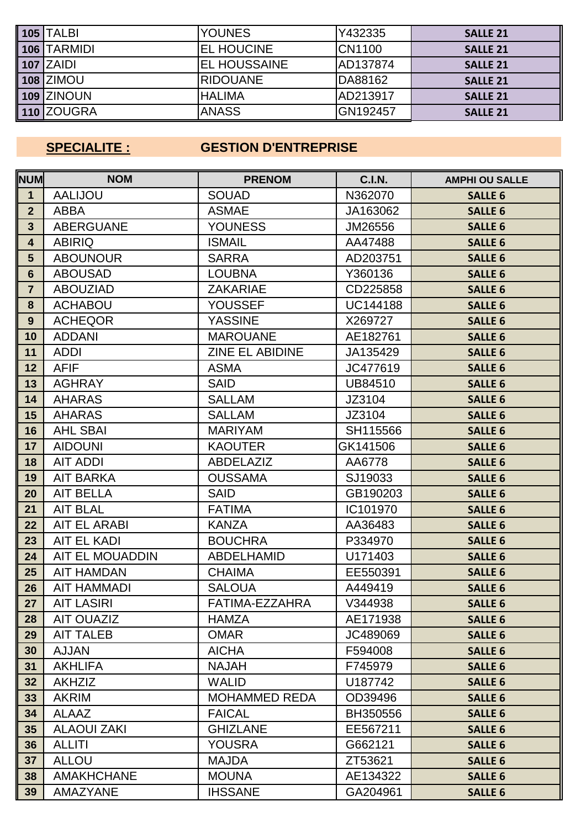| <b>105 TALBI</b>        | <b>YOUNES</b>        | Y432335         | <b>SALLE 21</b> |
|-------------------------|----------------------|-----------------|-----------------|
| $\parallel$ 106 TARMIDI | <b>IEL HOUCINE</b>   | <b>CN1100</b>   | <b>SALLE 21</b> |
| 107 ZAIDI               | <b>IEL HOUSSAINE</b> | AD137874        | <b>SALLE 21</b> |
| 108 ZIMOU               | <b>IRIDOUANE</b>     | DA88162         | <b>SALLE 21</b> |
| 109 ZINOUN              | <b>HALIMA</b>        | AD213917        | <b>SALLE 21</b> |
| <b>110 ZOUGRA</b>       | <b>ANASS</b>         | <b>GN192457</b> | <b>SALLE 21</b> |

# **SPECIALITE : GESTION D'ENTREPRISE**

| <b>NUM</b>              | <b>NOM</b>             | <b>PRENOM</b>        | <b>C.I.N.</b>   | <b>AMPHI OU SALLE</b> |
|-------------------------|------------------------|----------------------|-----------------|-----------------------|
| $\mathbf 1$             | <b>AALIJOU</b>         | <b>SOUAD</b>         | N362070         | <b>SALLE 6</b>        |
| $\overline{2}$          | <b>ABBA</b>            | <b>ASMAE</b>         | JA163062        | <b>SALLE 6</b>        |
| $\mathbf{3}$            | <b>ABERGUANE</b>       | <b>YOUNESS</b>       | JM26556         | <b>SALLE 6</b>        |
| $\overline{\mathbf{4}}$ | <b>ABIRIQ</b>          | <b>ISMAIL</b>        | AA47488         | <b>SALLE 6</b>        |
| $5\phantom{1}$          | <b>ABOUNOUR</b>        | <b>SARRA</b>         | AD203751        | <b>SALLE 6</b>        |
| $6\phantom{1}$          | <b>ABOUSAD</b>         | <b>LOUBNA</b>        | Y360136         | <b>SALLE 6</b>        |
| $\overline{7}$          | <b>ABOUZIAD</b>        | <b>ZAKARIAE</b>      | CD225858        | <b>SALLE 6</b>        |
| 8                       | <b>ACHABOU</b>         | <b>YOUSSEF</b>       | <b>UC144188</b> | <b>SALLE 6</b>        |
| 9                       | <b>ACHEQOR</b>         | <b>YASSINE</b>       | X269727         | <b>SALLE 6</b>        |
| 10                      | <b>ADDANI</b>          | <b>MAROUANE</b>      | AE182761        | <b>SALLE 6</b>        |
| 11                      | <b>ADDI</b>            | ZINE EL ABIDINE      | JA135429        | <b>SALLE 6</b>        |
| 12                      | <b>AFIF</b>            | <b>ASMA</b>          | JC477619        | <b>SALLE 6</b>        |
| 13                      | <b>AGHRAY</b>          | <b>SAID</b>          | UB84510         | <b>SALLE 6</b>        |
| 14                      | <b>AHARAS</b>          | <b>SALLAM</b>        | JZ3104          | <b>SALLE 6</b>        |
| 15                      | <b>AHARAS</b>          | <b>SALLAM</b>        | JZ3104          | <b>SALLE 6</b>        |
| 16                      | <b>AHL SBAI</b>        | <b>MARIYAM</b>       | SH115566        | <b>SALLE 6</b>        |
| 17                      | <b>AIDOUNI</b>         | <b>KAOUTER</b>       | GK141506        | <b>SALLE 6</b>        |
| 18                      | <b>AIT ADDI</b>        | <b>ABDELAZIZ</b>     | AA6778          | <b>SALLE 6</b>        |
| 19                      | <b>AIT BARKA</b>       | <b>OUSSAMA</b>       | SJ19033         | <b>SALLE 6</b>        |
| 20                      | <b>AIT BELLA</b>       | <b>SAID</b>          | GB190203        | <b>SALLE 6</b>        |
| 21                      | <b>AIT BLAL</b>        | <b>FATIMA</b>        | IC101970        | <b>SALLE 6</b>        |
| 22                      | <b>AIT EL ARABI</b>    | <b>KANZA</b>         | AA36483         | <b>SALLE 6</b>        |
| 23                      | <b>AIT EL KADI</b>     | <b>BOUCHRA</b>       | P334970         | <b>SALLE 6</b>        |
| 24                      | <b>AIT EL MOUADDIN</b> | <b>ABDELHAMID</b>    | U171403         | <b>SALLE 6</b>        |
| 25                      | <b>AIT HAMDAN</b>      | <b>CHAIMA</b>        | EE550391        | <b>SALLE 6</b>        |
| 26                      | <b>AIT HAMMADI</b>     | <b>SALOUA</b>        | A449419         | <b>SALLE 6</b>        |
| 27                      | <b>AIT LASIRI</b>      | FATIMA-EZZAHRA       | V344938         | <b>SALLE 6</b>        |
| 28                      | <b>AIT OUAZIZ</b>      | <b>HAMZA</b>         | AE171938        | <b>SALLE 6</b>        |
| 29                      | <b>AIT TALEB</b>       | <b>OMAR</b>          | JC489069        | <b>SALLE 6</b>        |
| 30                      | <b>AJJAN</b>           | <b>AICHA</b>         | F594008         | <b>SALLE 6</b>        |
| 31                      | <b>AKHLIFA</b>         | <b>NAJAH</b>         | F745979         | <b>SALLE 6</b>        |
| 32                      | <b>AKHZIZ</b>          | <b>WALID</b>         | U187742         | <b>SALLE 6</b>        |
| 33                      | <b>AKRIM</b>           | <b>MOHAMMED REDA</b> | OD39496         | <b>SALLE 6</b>        |
| 34                      | <b>ALAAZ</b>           | <b>FAICAL</b>        | BH350556        | <b>SALLE 6</b>        |
| 35                      | <b>ALAOUI ZAKI</b>     | <b>GHIZLANE</b>      | EE567211        | <b>SALLE 6</b>        |
| 36                      | ALLITI                 | <b>YOUSRA</b>        | G662121         | <b>SALLE 6</b>        |
| 37                      | <b>ALLOU</b>           | <b>MAJDA</b>         | ZT53621         | <b>SALLE 6</b>        |
| 38                      | <b>AMAKHCHANE</b>      | <b>MOUNA</b>         | AE134322        | <b>SALLE 6</b>        |
| 39                      | <b>AMAZYANE</b>        | <b>IHSSANE</b>       | GA204961        | <b>SALLE 6</b>        |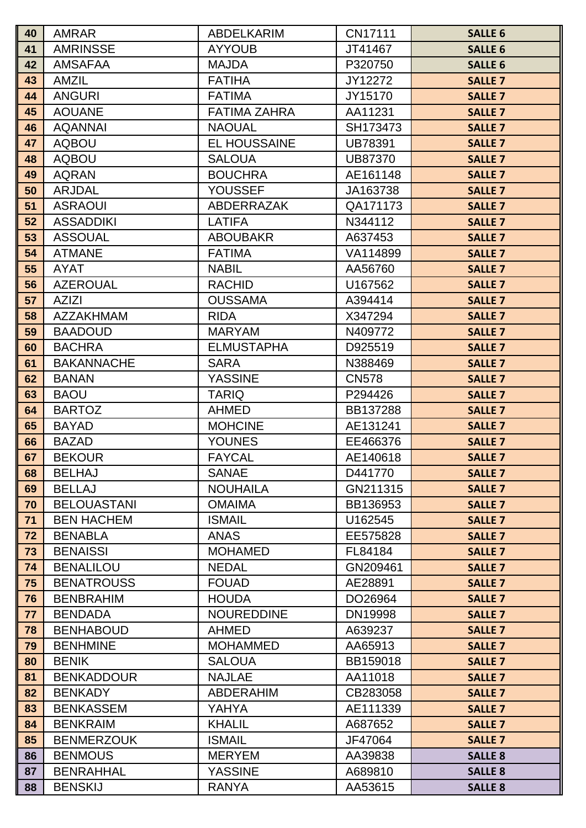| 40       | <b>AMRAR</b>                        | <b>ABDELKARIM</b>              | CN17111             | <b>SALLE 6</b>                   |
|----------|-------------------------------------|--------------------------------|---------------------|----------------------------------|
| 41       | <b>AMRINSSE</b>                     | <b>AYYOUB</b>                  | JT41467             | <b>SALLE 6</b>                   |
| 42       | <b>AMSAFAA</b>                      | <b>MAJDA</b>                   | P320750             | <b>SALLE 6</b>                   |
| 43       | <b>AMZIL</b>                        | <b>FATIHA</b>                  | JY12272             | <b>SALLE 7</b>                   |
| 44       | <b>ANGURI</b>                       | <b>FATIMA</b>                  | JY15170             | <b>SALLE 7</b>                   |
| 45       | <b>AOUANE</b>                       | <b>FATIMA ZAHRA</b>            | AA11231             | <b>SALLE 7</b>                   |
| 46       | <b>AQANNAI</b>                      | <b>NAOUAL</b>                  | SH173473            | <b>SALLE 7</b>                   |
| 47       | <b>AQBOU</b>                        | <b>EL HOUSSAINE</b>            | <b>UB78391</b>      | <b>SALLE 7</b>                   |
| 48       | <b>AQBOU</b>                        | <b>SALOUA</b>                  | UB87370             | <b>SALLE 7</b>                   |
| 49       | <b>AQRAN</b>                        | <b>BOUCHRA</b>                 | AE161148            | <b>SALLE 7</b>                   |
| 50       | <b>ARJDAL</b>                       | <b>YOUSSEF</b>                 | JA163738            | <b>SALLE 7</b>                   |
| 51       | <b>ASRAOUI</b>                      | <b>ABDERRAZAK</b>              | QA171173            | <b>SALLE 7</b>                   |
| 52       | <b>ASSADDIKI</b>                    | <b>LATIFA</b>                  | N344112             | <b>SALLE 7</b>                   |
| 53       | <b>ASSOUAL</b>                      | <b>ABOUBAKR</b>                | A637453             | <b>SALLE 7</b>                   |
| 54       | <b>ATMANE</b>                       | <b>FATIMA</b>                  | VA114899            | <b>SALLE 7</b>                   |
| 55       | <b>AYAT</b>                         | <b>NABIL</b>                   | AA56760             | <b>SALLE 7</b>                   |
| 56       | <b>AZEROUAL</b>                     | <b>RACHID</b>                  | U167562             | <b>SALLE 7</b>                   |
| 57       | <b>AZIZI</b>                        | <b>OUSSAMA</b>                 | A394414             | <b>SALLE 7</b>                   |
| 58       | <b>AZZAKHMAM</b>                    | <b>RIDA</b>                    | X347294             | <b>SALLE 7</b>                   |
| 59       | <b>BAADOUD</b>                      | <b>MARYAM</b>                  | N409772             | <b>SALLE 7</b>                   |
| 60       | <b>BACHRA</b>                       | <b>ELMUSTAPHA</b>              | D925519             | <b>SALLE 7</b>                   |
| 61       | <b>BAKANNACHE</b>                   | <b>SARA</b>                    | N388469             | <b>SALLE 7</b>                   |
| 62       | <b>BANAN</b>                        | <b>YASSINE</b>                 | <b>CN578</b>        | <b>SALLE 7</b>                   |
| 63       | <b>BAOU</b>                         | <b>TARIQ</b>                   | P294426             | <b>SALLE 7</b>                   |
| 64       | <b>BARTOZ</b>                       | <b>AHMED</b>                   | BB137288            | <b>SALLE 7</b>                   |
| 65       | <b>BAYAD</b>                        | <b>MOHCINE</b>                 | AE131241            | <b>SALLE 7</b>                   |
| 66       | <b>BAZAD</b>                        | <b>YOUNES</b>                  | EE466376            | <b>SALLE 7</b>                   |
| 67       | <b>BEKOUR</b>                       | <b>FAYCAL</b>                  | AE140618            | <b>SALLE 7</b>                   |
| 68       | <b>BELHAJ</b>                       | <b>SANAE</b>                   | D441770             | <b>SALLE 7</b>                   |
| 69       | <b>BELLAJ</b>                       | <b>NOUHAILA</b>                | GN211315            | <b>SALLE 7</b>                   |
| 70       | <b>BELOUASTANI</b>                  | <b>OMAIMA</b>                  | BB136953            | <b>SALLE 7</b>                   |
| 71       | <b>BEN HACHEM</b>                   | <b>ISMAIL</b>                  | U162545             | <b>SALLE 7</b>                   |
| 72       | <b>BENABLA</b>                      | <b>ANAS</b>                    | EE575828            | <b>SALLE 7</b>                   |
| 73       | <b>BENAISSI</b><br><b>BENALILOU</b> | <b>MOHAMED</b><br><b>NEDAL</b> | FL84184<br>GN209461 | <b>SALLE 7</b>                   |
| 74<br>75 | <b>BENATROUSS</b>                   | <b>FOUAD</b>                   | AE28891             | <b>SALLE 7</b>                   |
| 76       | <b>BENBRAHIM</b>                    | <b>HOUDA</b>                   | DO26964             | <b>SALLE 7</b><br><b>SALLE 7</b> |
| 77       | <b>BENDADA</b>                      | <b>NOUREDDINE</b>              | DN19998             | <b>SALLE 7</b>                   |
| 78       | <b>BENHABOUD</b>                    | <b>AHMED</b>                   | A639237             | <b>SALLE 7</b>                   |
| 79       | <b>BENHMINE</b>                     | <b>MOHAMMED</b>                | AA65913             | <b>SALLE 7</b>                   |
| 80       | <b>BENIK</b>                        | <b>SALOUA</b>                  | BB159018            | <b>SALLE 7</b>                   |
| 81       | <b>BENKADDOUR</b>                   | <b>NAJLAE</b>                  | AA11018             | <b>SALLE 7</b>                   |
| 82       | <b>BENKADY</b>                      | <b>ABDERAHIM</b>               | CB283058            | <b>SALLE 7</b>                   |
| 83       | <b>BENKASSEM</b>                    | YAHYA                          | AE111339            | <b>SALLE 7</b>                   |
| 84       | <b>BENKRAIM</b>                     | <b>KHALIL</b>                  | A687652             | <b>SALLE 7</b>                   |
| 85       | <b>BENMERZOUK</b>                   | <b>ISMAIL</b>                  | JF47064             | <b>SALLE 7</b>                   |
| 86       | <b>BENMOUS</b>                      | <b>MERYEM</b>                  | AA39838             | <b>SALLE 8</b>                   |
| 87       | <b>BENRAHHAL</b>                    | <b>YASSINE</b>                 | A689810             | <b>SALLE 8</b>                   |
| 88       | <b>BENSKIJ</b>                      | <b>RANYA</b>                   | AA53615             | <b>SALLE 8</b>                   |
|          |                                     |                                |                     |                                  |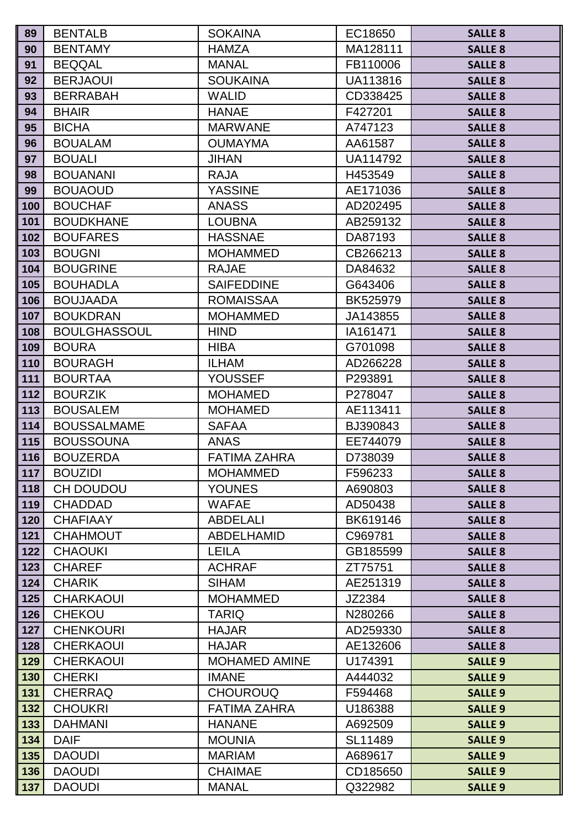| 89         | <b>BENTALB</b>                   | <b>SOKAINA</b>                   | EC18650             | <b>SALLE 8</b>                   |
|------------|----------------------------------|----------------------------------|---------------------|----------------------------------|
| 90         | <b>BENTAMY</b>                   | <b>HAMZA</b>                     | MA128111            | <b>SALLE 8</b>                   |
| 91         | <b>BEQQAL</b>                    | <b>MANAL</b>                     | FB110006            | <b>SALLE 8</b>                   |
| 92         | <b>BERJAOUI</b>                  | <b>SOUKAINA</b>                  | UA113816            | <b>SALLE 8</b>                   |
| 93         | <b>BERRABAH</b>                  | <b>WALID</b>                     | CD338425            | <b>SALLE 8</b>                   |
| 94         | <b>BHAIR</b>                     | <b>HANAE</b>                     | F427201             | <b>SALLE 8</b>                   |
| 95         | <b>BICHA</b>                     | <b>MARWANE</b>                   | A747123             | <b>SALLE 8</b>                   |
| 96         | <b>BOUALAM</b>                   | <b>OUMAYMA</b>                   | AA61587             | <b>SALLE 8</b>                   |
| 97         | <b>BOUALI</b>                    | <b>JIHAN</b>                     | UA114792            | <b>SALLE 8</b>                   |
| 98         | <b>BOUANANI</b>                  | <b>RAJA</b>                      | H453549             | <b>SALLE 8</b>                   |
| 99         | <b>BOUAOUD</b>                   | <b>YASSINE</b>                   | AE171036            | <b>SALLE 8</b>                   |
| 100        | <b>BOUCHAF</b>                   | <b>ANASS</b>                     | AD202495            | <b>SALLE 8</b>                   |
| 101        | <b>BOUDKHANE</b>                 | <b>LOUBNA</b>                    | AB259132            | <b>SALLE 8</b>                   |
| 102        | <b>BOUFARES</b>                  | <b>HASSNAE</b>                   | DA87193             | <b>SALLE 8</b>                   |
| 103        | <b>BOUGNI</b>                    | <b>MOHAMMED</b>                  | CB266213            | <b>SALLE 8</b>                   |
| 104        | <b>BOUGRINE</b>                  | <b>RAJAE</b>                     | DA84632             | <b>SALLE 8</b>                   |
| 105        | <b>BOUHADLA</b>                  | <b>SAIFEDDINE</b>                | G643406             | <b>SALLE 8</b>                   |
| 106        | <b>BOUJAADA</b>                  | <b>ROMAISSAA</b>                 | BK525979            | <b>SALLE 8</b>                   |
| 107        | <b>BOUKDRAN</b>                  | <b>MOHAMMED</b>                  | JA143855            | <b>SALLE 8</b>                   |
| 108        | <b>BOULGHASSOUL</b>              | <b>HIND</b>                      | IA161471            | <b>SALLE 8</b>                   |
| 109        | <b>BOURA</b>                     | <b>HIBA</b>                      | G701098             | <b>SALLE 8</b>                   |
| 110        | <b>BOURAGH</b>                   | <b>ILHAM</b>                     | AD266228            | <b>SALLE 8</b>                   |
| 111<br>112 | <b>BOURTAA</b><br><b>BOURZIK</b> | <b>YOUSSEF</b><br><b>MOHAMED</b> | P293891             | <b>SALLE 8</b>                   |
| 113        | <b>BOUSALEM</b>                  | <b>MOHAMED</b>                   | P278047<br>AE113411 | <b>SALLE 8</b><br><b>SALLE 8</b> |
| 114        | <b>BOUSSALMAME</b>               | <b>SAFAA</b>                     | BJ390843            | <b>SALLE 8</b>                   |
| 115        | <b>BOUSSOUNA</b>                 | <b>ANAS</b>                      | EE744079            | <b>SALLE 8</b>                   |
| 116        | <b>BOUZERDA</b>                  | <b>FATIMA ZAHRA</b>              | D738039             | <b>SALLE 8</b>                   |
| 117        | <b>BOUZIDI</b>                   | <b>MOHAMMED</b>                  | F596233             | <b>SALLE 8</b>                   |
| 118        | CH DOUDOU                        | <b>YOUNES</b>                    | A690803             | <b>SALLE 8</b>                   |
| 119        | <b>CHADDAD</b>                   | <b>WAFAE</b>                     | AD50438             | <b>SALLE 8</b>                   |
| 120        | <b>CHAFIAAY</b>                  | <b>ABDELALI</b>                  | BK619146            | <b>SALLE 8</b>                   |
| 121        | <b>CHAHMOUT</b>                  | <b>ABDELHAMID</b>                | C969781             | <b>SALLE 8</b>                   |
| 122        | <b>CHAOUKI</b>                   | <b>LEILA</b>                     | GB185599            | <b>SALLE 8</b>                   |
| 123        | <b>CHAREF</b>                    | <b>ACHRAF</b>                    | ZT75751             | <b>SALLE 8</b>                   |
| 124        | <b>CHARIK</b>                    | <b>SIHAM</b>                     | AE251319            | <b>SALLE 8</b>                   |
| 125        | <b>CHARKAOUI</b>                 | <b>MOHAMMED</b>                  | JZ2384              | <b>SALLE 8</b>                   |
| 126        | <b>CHEKOU</b>                    | <b>TARIQ</b>                     | N280266             | <b>SALLE 8</b>                   |
| 127        | <b>CHENKOURI</b>                 | <b>HAJAR</b>                     | AD259330            | <b>SALLE 8</b>                   |
| 128        | <b>CHERKAOUI</b>                 | <b>HAJAR</b>                     | AE132606            | <b>SALLE 8</b>                   |
| 129        | <b>CHERKAOUI</b>                 | <b>MOHAMED AMINE</b>             | U174391             | <b>SALLE 9</b>                   |
| 130        | <b>CHERKI</b>                    | <b>IMANE</b>                     | A444032             | <b>SALLE 9</b>                   |
| 131        | <b>CHERRAQ</b>                   | <b>CHOUROUQ</b>                  | F594468             | <b>SALLE 9</b>                   |
| 132        | <b>CHOUKRI</b>                   | <b>FATIMA ZAHRA</b>              | U186388             | <b>SALLE 9</b>                   |
| 133        | <b>DAHMANI</b>                   | <b>HANANE</b>                    | A692509             | <b>SALLE 9</b>                   |
| 134        | <b>DAIF</b>                      | <b>MOUNIA</b>                    | SL11489             | <b>SALLE 9</b>                   |
| 135        | <b>DAOUDI</b>                    | <b>MARIAM</b>                    | A689617             | <b>SALLE 9</b>                   |
| 136        | <b>DAOUDI</b>                    | <b>CHAIMAE</b>                   | CD185650            | <b>SALLE 9</b>                   |
| 137        | <b>DAOUDI</b>                    | <b>MANAL</b>                     | Q322982             | <b>SALLE 9</b>                   |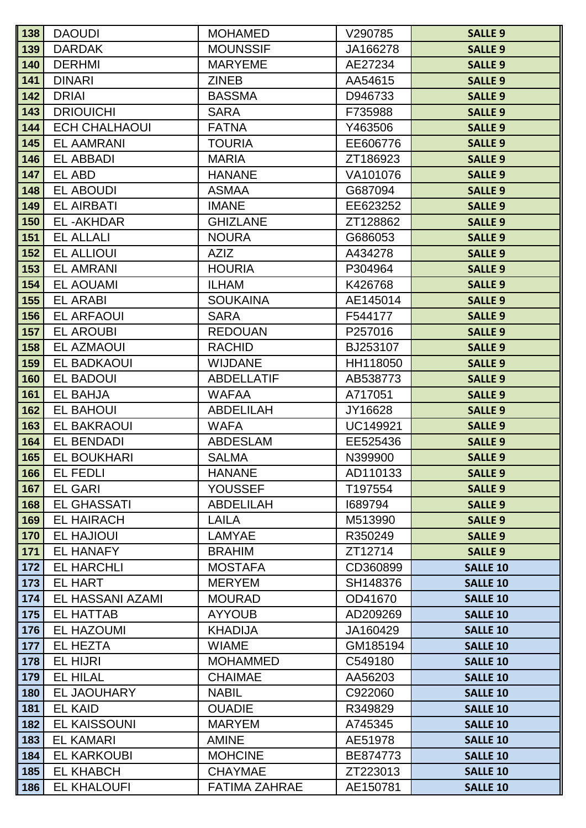| 138        | <b>DAOUDI</b>                        | <b>MOHAMED</b>                 | V290785             | <b>SALLE 9</b>                     |
|------------|--------------------------------------|--------------------------------|---------------------|------------------------------------|
| 139        | <b>DARDAK</b>                        | <b>MOUNSSIF</b>                | JA166278            | <b>SALLE 9</b>                     |
| 140        | <b>DERHMI</b>                        | <b>MARYEME</b>                 | AE27234             | <b>SALLE 9</b>                     |
| 141        | <b>DINARI</b>                        | <b>ZINEB</b>                   | AA54615             | <b>SALLE 9</b>                     |
| 142        | <b>DRIAI</b>                         | <b>BASSMA</b>                  | D946733             | <b>SALLE 9</b>                     |
| 143        | <b>DRIOUICHI</b>                     | <b>SARA</b>                    | F735988             | <b>SALLE 9</b>                     |
| 144        | <b>ECH CHALHAOUI</b>                 | <b>FATNA</b>                   | Y463506             | <b>SALLE 9</b>                     |
| 145        | <b>EL AAMRANI</b>                    | <b>TOURIA</b>                  | EE606776            | <b>SALLE 9</b>                     |
| 146        | <b>EL ABBADI</b>                     | <b>MARIA</b>                   | ZT186923            | <b>SALLE 9</b>                     |
| 147        | EL ABD                               | <b>HANANE</b>                  | VA101076            | <b>SALLE 9</b>                     |
| 148        | <b>EL ABOUDI</b>                     | <b>ASMAA</b>                   | G687094             | <b>SALLE 9</b>                     |
| 149        | <b>EL AIRBATI</b>                    | <b>IMANE</b>                   | EE623252            | <b>SALLE 9</b>                     |
| 150        | <b>EL-AKHDAR</b>                     | <b>GHIZLANE</b>                | ZT128862            | <b>SALLE 9</b>                     |
| 151        | <b>EL ALLALI</b>                     | <b>NOURA</b>                   | G686053             | <b>SALLE 9</b>                     |
| 152        | <b>EL ALLIOUI</b>                    | <b>AZIZ</b>                    | A434278             | <b>SALLE 9</b>                     |
| 153        | <b>EL AMRANI</b>                     | <b>HOURIA</b>                  | P304964             | <b>SALLE 9</b>                     |
| 154        | <b>EL AOUAMI</b>                     | <b>ILHAM</b>                   | K426768             | <b>SALLE 9</b>                     |
| 155        | <b>EL ARABI</b>                      | <b>SOUKAINA</b>                | AE145014            | <b>SALLE 9</b>                     |
| 156        | <b>EL ARFAOUI</b>                    | <b>SARA</b>                    | F544177             | <b>SALLE 9</b>                     |
| 157        | <b>EL AROUBI</b>                     | <b>REDOUAN</b>                 | P257016             | <b>SALLE 9</b>                     |
| 158        | <b>EL AZMAOUI</b>                    | <b>RACHID</b>                  | BJ253107            | <b>SALLE 9</b>                     |
| 159        | <b>EL BADKAOUI</b>                   | <b>WIJDANE</b>                 | HH118050            | <b>SALLE 9</b>                     |
| 160        | <b>EL BADOUI</b>                     | <b>ABDELLATIF</b>              | AB538773            | <b>SALLE 9</b>                     |
| 161        | <b>EL BAHJA</b>                      | <b>WAFAA</b>                   | A717051             | <b>SALLE 9</b>                     |
| 162        | <b>EL BAHOUI</b>                     | <b>ABDELILAH</b>               | JY16628             | <b>SALLE 9</b>                     |
| 163        | <b>EL BAKRAOUI</b>                   | <b>WAFA</b>                    | <b>UC149921</b>     | <b>SALLE 9</b>                     |
| 164        | <b>EL BENDADI</b>                    | <b>ABDESLAM</b>                | EE525436            | <b>SALLE 9</b>                     |
| 165        | <b>EL BOUKHARI</b>                   | <b>SALMA</b>                   | N399900             | <b>SALLE 9</b>                     |
| 166        | <b>EL FEDLI</b>                      | <b>HANANE</b>                  | AD110133            | <b>SALLE 9</b>                     |
| 167        | <b>EL GARI</b>                       | <b>YOUSSEF</b>                 | T197554             | <b>SALLE 9</b>                     |
| 168        | <b>EL GHASSATI</b>                   | <b>ABDELILAH</b>               | 1689794             | <b>SALLE 9</b>                     |
| 169        | <b>EL HAIRACH</b>                    | <b>LAILA</b>                   | M513990             | <b>SALLE 9</b>                     |
| 170        | <b>EL HAJIOUI</b>                    | LAMYAE                         | R350249             | <b>SALLE 9</b>                     |
| 171        | <b>EL HANAFY</b>                     | <b>BRAHIM</b>                  | ZT12714             | <b>SALLE 9</b>                     |
| 172        | <b>EL HARCHLI</b>                    | <b>MOSTAFA</b>                 | CD360899            | <b>SALLE 10</b>                    |
| 173        | <b>EL HART</b>                       | <b>MERYEM</b>                  | SH148376            | <b>SALLE 10</b>                    |
| 174<br>175 | EL HASSANI AZAMI<br><b>EL HATTAB</b> | <b>MOURAD</b><br><b>AYYOUB</b> | OD41670<br>AD209269 | <b>SALLE 10</b><br><b>SALLE 10</b> |
| 176        | <b>EL HAZOUMI</b>                    | <b>KHADIJA</b>                 | JA160429            | <b>SALLE 10</b>                    |
| 177        | <b>EL HEZTA</b>                      | <b>WIAME</b>                   | GM185194            | <b>SALLE 10</b>                    |
| 178        | <b>EL HIJRI</b>                      | <b>MOHAMMED</b>                | C549180             | <b>SALLE 10</b>                    |
| 179        | <b>EL HILAL</b>                      | <b>CHAIMAE</b>                 | AA56203             | <b>SALLE 10</b>                    |
| 180        | EL JAOUHARY                          | <b>NABIL</b>                   | C922060             | <b>SALLE 10</b>                    |
| 181        | <b>EL KAID</b>                       | <b>OUADIE</b>                  | R349829             | <b>SALLE 10</b>                    |
| 182        | <b>EL KAISSOUNI</b>                  | <b>MARYEM</b>                  | A745345             | <b>SALLE 10</b>                    |
| 183        | <b>EL KAMARI</b>                     | <b>AMINE</b>                   | AE51978             | <b>SALLE 10</b>                    |
| 184        | <b>EL KARKOUBI</b>                   | <b>MOHCINE</b>                 | BE874773            | <b>SALLE 10</b>                    |
| 185        | <b>EL KHABCH</b>                     | <b>CHAYMAE</b>                 | ZT223013            | <b>SALLE 10</b>                    |
| 186        | <b>EL KHALOUFI</b>                   | <b>FATIMA ZAHRAE</b>           | AE150781            | <b>SALLE 10</b>                    |
|            |                                      |                                |                     |                                    |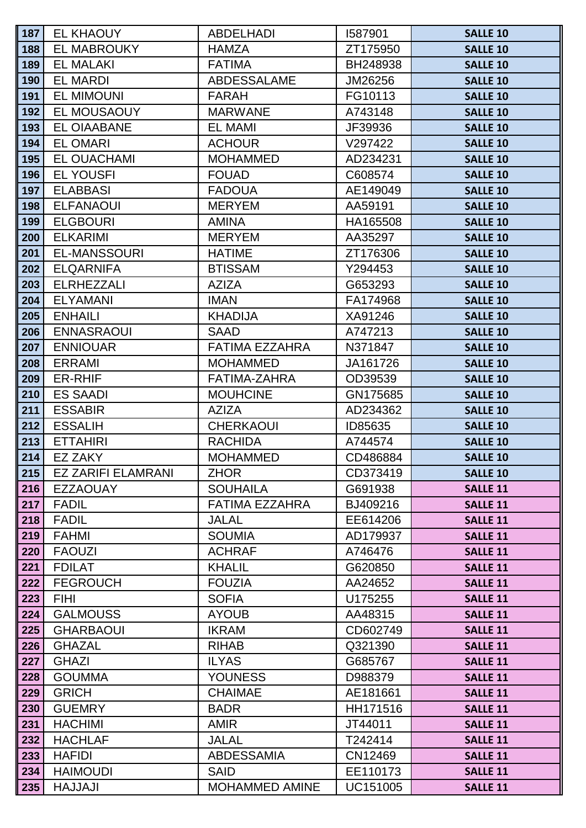| 187        | <b>EL KHAOUY</b>              | <b>ABDELHADI</b>             | 1587901            | <b>SALLE 10</b>                    |
|------------|-------------------------------|------------------------------|--------------------|------------------------------------|
| 188        | <b>EL MABROUKY</b>            | <b>HAMZA</b>                 | ZT175950           | <b>SALLE 10</b>                    |
| 189        | <b>EL MALAKI</b>              | <b>FATIMA</b>                | BH248938           | <b>SALLE 10</b>                    |
| 190        | <b>EL MARDI</b>               | <b>ABDESSALAME</b>           | JM26256            | <b>SALLE 10</b>                    |
| 191        | <b>EL MIMOUNI</b>             | <b>FARAH</b>                 | FG10113            | <b>SALLE 10</b>                    |
| 192        | EL MOUSAOUY                   | <b>MARWANE</b>               | A743148            | <b>SALLE 10</b>                    |
| 193        | <b>EL OIAABANE</b>            | <b>EL MAMI</b>               | JF39936            | <b>SALLE 10</b>                    |
| 194        | <b>EL OMARI</b>               | <b>ACHOUR</b>                | V297422            | <b>SALLE 10</b>                    |
| 195        | <b>EL OUACHAMI</b>            | <b>MOHAMMED</b>              | AD234231           | <b>SALLE 10</b>                    |
| 196        | <b>EL YOUSFI</b>              | <b>FOUAD</b>                 | C608574            | <b>SALLE 10</b>                    |
| 197        | <b>ELABBASI</b>               | <b>FADOUA</b>                | AE149049           | <b>SALLE 10</b>                    |
| 198        | <b>ELFANAOUI</b>              | <b>MERYEM</b>                | AA59191            | <b>SALLE 10</b>                    |
| 199        | <b>ELGBOURI</b>               | <b>AMINA</b>                 | HA165508           | <b>SALLE 10</b>                    |
| 200        | <b>ELKARIMI</b>               | <b>MERYEM</b>                | AA35297            | <b>SALLE 10</b>                    |
| 201        | <b>EL-MANSSOURI</b>           | <b>HATIME</b>                | ZT176306           | <b>SALLE 10</b>                    |
| 202        | <b>ELQARNIFA</b>              | <b>BTISSAM</b>               | Y294453            | <b>SALLE 10</b>                    |
| 203        | <b>ELRHEZZALI</b>             | <b>AZIZA</b>                 | G653293            | <b>SALLE 10</b>                    |
| 204        | <b>ELYAMANI</b>               | <b>IMAN</b>                  | FA174968           | <b>SALLE 10</b>                    |
| 205        | <b>ENHAILI</b>                | <b>KHADIJA</b>               | XA91246            | <b>SALLE 10</b>                    |
| 206        | <b>ENNASRAOUI</b>             | <b>SAAD</b>                  | A747213            | <b>SALLE 10</b>                    |
| 207        | <b>ENNIOUAR</b>               | <b>FATIMA EZZAHRA</b>        | N371847            | <b>SALLE 10</b>                    |
| 208        | <b>ERRAMI</b>                 | <b>MOHAMMED</b>              | JA161726           | <b>SALLE 10</b>                    |
| 209        | <b>ER-RHIF</b>                | FATIMA-ZAHRA                 | OD39539            | <b>SALLE 10</b>                    |
| 210        | <b>ES SAADI</b>               | <b>MOUHCINE</b>              | GN175685           | <b>SALLE 10</b>                    |
| 211        | <b>ESSABIR</b>                | <b>AZIZA</b>                 | AD234362           | <b>SALLE 10</b>                    |
| 212        | <b>ESSALIH</b>                | <b>CHERKAOUI</b>             | ID85635            | <b>SALLE 10</b>                    |
| 213        | <b>ETTAHIRI</b>               | <b>RACHIDA</b>               | A744574            | <b>SALLE 10</b>                    |
| 214        | <b>EZ ZAKY</b>                | <b>MOHAMMED</b>              | CD486884           | <b>SALLE 10</b>                    |
| 215        | <b>EZ ZARIFI ELAMRANI</b>     | <b>ZHOR</b>                  | CD373419           | <b>SALLE 10</b>                    |
| 216        | <b>EZZAOUAY</b>               | <b>SOUHAILA</b>              | G691938            | <b>SALLE 11</b>                    |
| 217        | <b>FADIL</b>                  | <b>FATIMA EZZAHRA</b>        | BJ409216           | <b>SALLE 11</b>                    |
| 218        | <b>FADIL</b>                  | <b>JALAL</b>                 | EE614206           | <b>SALLE 11</b>                    |
| 219        | <b>FAHMI</b>                  | <b>SOUMIA</b>                | AD179937           | <b>SALLE 11</b>                    |
| 220        | <b>FAOUZI</b>                 | <b>ACHRAF</b>                | A746476            | <b>SALLE 11</b>                    |
| 221        | <b>FDILAT</b>                 | <b>KHALIL</b>                | G620850            | <b>SALLE 11</b>                    |
| 222        | <b>FEGROUCH</b>               | <b>FOUZIA</b>                | AA24652            | <b>SALLE 11</b>                    |
| 223        | <b>FIHI</b>                   | <b>SOFIA</b>                 | U175255            | <b>SALLE 11</b>                    |
| 224        | <b>GALMOUSS</b>               | <b>AYOUB</b>                 | AA48315            | <b>SALLE 11</b>                    |
| 225        | <b>GHARBAOUI</b>              | <b>IKRAM</b>                 | CD602749           | <b>SALLE 11</b>                    |
| 226<br>227 | <b>GHAZAL</b><br><b>GHAZI</b> | <b>RIHAB</b><br><b>ILYAS</b> | Q321390            | <b>SALLE 11</b>                    |
|            | <b>GOUMMA</b>                 | <b>YOUNESS</b>               | G685767<br>D988379 | <b>SALLE 11</b>                    |
| 228<br>229 | <b>GRICH</b>                  | <b>CHAIMAE</b>               | AE181661           | <b>SALLE 11</b><br><b>SALLE 11</b> |
| 230        | <b>GUEMRY</b>                 | <b>BADR</b>                  | HH171516           | <b>SALLE 11</b>                    |
| 231        | <b>HACHIMI</b>                | <b>AMIR</b>                  | JT44011            | <b>SALLE 11</b>                    |
| 232        | <b>HACHLAF</b>                | <b>JALAL</b>                 | T242414            | <b>SALLE 11</b>                    |
| 233        | <b>HAFIDI</b>                 | <b>ABDESSAMIA</b>            | CN12469            | <b>SALLE 11</b>                    |
| 234        | <b>HAIMOUDI</b>               | <b>SAID</b>                  | EE110173           | <b>SALLE 11</b>                    |
| 235        | <b>HAJJAJI</b>                | <b>MOHAMMED AMINE</b>        | UC151005           | <b>SALLE 11</b>                    |
|            |                               |                              |                    |                                    |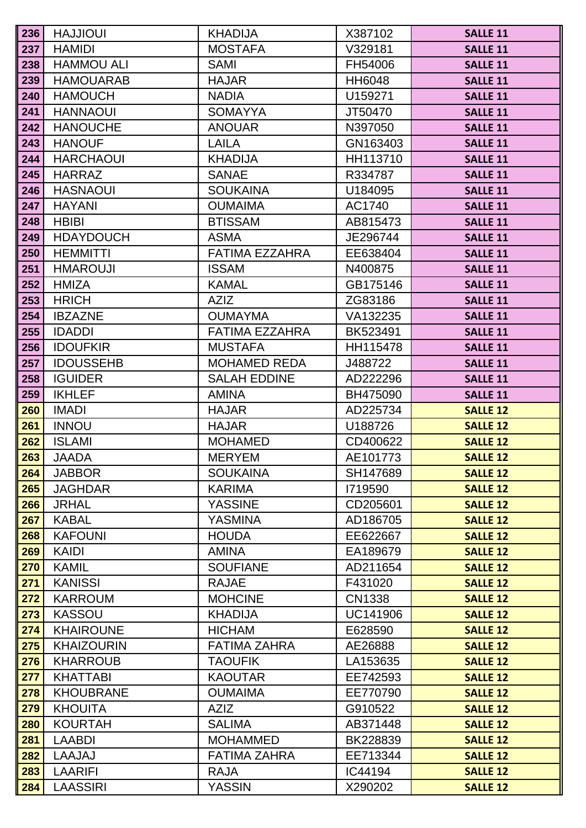| 236 | <b>HAJJIOUI</b>   | <b>KHADIJA</b>        | X387102  | <b>SALLE 11</b> |
|-----|-------------------|-----------------------|----------|-----------------|
| 237 | <b>HAMIDI</b>     | <b>MOSTAFA</b>        | V329181  | <b>SALLE 11</b> |
| 238 | <b>HAMMOU ALI</b> | <b>SAMI</b>           | FH54006  | <b>SALLE 11</b> |
| 239 | <b>HAMOUARAB</b>  | <b>HAJAR</b>          | HH6048   | <b>SALLE 11</b> |
| 240 | <b>HAMOUCH</b>    | <b>NADIA</b>          | U159271  | <b>SALLE 11</b> |
| 241 | <b>HANNAOUI</b>   | <b>SOMAYYA</b>        | JT50470  | <b>SALLE 11</b> |
| 242 | <b>HANOUCHE</b>   | <b>ANOUAR</b>         | N397050  | <b>SALLE 11</b> |
| 243 | <b>HANOUF</b>     | <b>LAILA</b>          | GN163403 | <b>SALLE 11</b> |
| 244 | <b>HARCHAOUI</b>  | <b>KHADIJA</b>        | HH113710 | <b>SALLE 11</b> |
| 245 | <b>HARRAZ</b>     | <b>SANAE</b>          | R334787  | <b>SALLE 11</b> |
| 246 | <b>HASNAOUI</b>   | <b>SOUKAINA</b>       | U184095  | <b>SALLE 11</b> |
| 247 | <b>HAYANI</b>     | <b>OUMAIMA</b>        | AC1740   | <b>SALLE 11</b> |
| 248 | <b>HBIBI</b>      | <b>BTISSAM</b>        | AB815473 | <b>SALLE 11</b> |
| 249 | <b>HDAYDOUCH</b>  | <b>ASMA</b>           | JE296744 | <b>SALLE 11</b> |
| 250 | <b>HEMMITTI</b>   | <b>FATIMA EZZAHRA</b> | EE638404 | <b>SALLE 11</b> |
| 251 | <b>HMAROUJI</b>   | <b>ISSAM</b>          | N400875  | <b>SALLE 11</b> |
| 252 | <b>HMIZA</b>      | <b>KAMAL</b>          | GB175146 | <b>SALLE 11</b> |
| 253 | <b>HRICH</b>      | <b>AZIZ</b>           | ZG83186  | <b>SALLE 11</b> |
| 254 | <b>IBZAZNE</b>    | <b>OUMAYMA</b>        | VA132235 | <b>SALLE 11</b> |
| 255 | <b>IDADDI</b>     | <b>FATIMA EZZAHRA</b> | BK523491 | <b>SALLE 11</b> |
| 256 | <b>IDOUFKIR</b>   | <b>MUSTAFA</b>        | HH115478 | <b>SALLE 11</b> |
| 257 | <b>IDOUSSEHB</b>  | <b>MOHAMED REDA</b>   | J488722  | <b>SALLE 11</b> |
| 258 | <b>IGUIDER</b>    | <b>SALAH EDDINE</b>   | AD222296 | <b>SALLE 11</b> |
| 259 | <b>IKHLEF</b>     | <b>AMINA</b>          | BH475090 | <b>SALLE 11</b> |
| 260 | <b>IMADI</b>      | <b>HAJAR</b>          | AD225734 | <b>SALLE 12</b> |
| 261 | <b>INNOU</b>      | <b>HAJAR</b>          | U188726  | <b>SALLE 12</b> |
| 262 | <b>ISLAMI</b>     | <b>MOHAMED</b>        | CD400622 | <b>SALLE 12</b> |
| 263 | JAADA             | <b>MERYEM</b>         | AE101773 | <b>SALLE 12</b> |
| 264 | <b>JABBOR</b>     | <b>SOUKAINA</b>       | SH147689 | <b>SALLE 12</b> |
| 265 | <b>JAGHDAR</b>    | <b>KARIMA</b>         | 1719590  | <b>SALLE 12</b> |
| 266 | <b>JRHAL</b>      | <b>YASSINE</b>        | CD205601 | <b>SALLE 12</b> |
| 267 | <b>KABAL</b>      | <b>YASMINA</b>        | AD186705 | <b>SALLE 12</b> |
| 268 | <b>KAFOUNI</b>    | <b>HOUDA</b>          | EE622667 | <b>SALLE 12</b> |
| 269 | <b>KAIDI</b>      | <b>AMINA</b>          | EA189679 | <b>SALLE 12</b> |
| 270 | <b>KAMIL</b>      | <b>SOUFIANE</b>       | AD211654 | <b>SALLE 12</b> |
| 271 | <b>KANISSI</b>    | <b>RAJAE</b>          | F431020  | <b>SALLE 12</b> |
| 272 | <b>KARROUM</b>    | <b>MOHCINE</b>        | CN1338   | <b>SALLE 12</b> |
| 273 | <b>KASSOU</b>     | <b>KHADIJA</b>        | UC141906 | <b>SALLE 12</b> |
| 274 | <b>KHAIROUNE</b>  | <b>HICHAM</b>         | E628590  | <b>SALLE 12</b> |
| 275 | <b>KHAIZOURIN</b> | <b>FATIMA ZAHRA</b>   | AE26888  | <b>SALLE 12</b> |
| 276 | <b>KHARROUB</b>   | <b>TAOUFIK</b>        | LA153635 | <b>SALLE 12</b> |
| 277 | <b>KHATTABI</b>   | <b>KAOUTAR</b>        | EE742593 | <b>SALLE 12</b> |
| 278 | <b>KHOUBRANE</b>  | <b>OUMAIMA</b>        | EE770790 | <b>SALLE 12</b> |
| 279 | <b>KHOUITA</b>    | <b>AZIZ</b>           | G910522  | <b>SALLE 12</b> |
| 280 | <b>KOURTAH</b>    | <b>SALIMA</b>         | AB371448 | <b>SALLE 12</b> |
| 281 | LAABDI            | <b>MOHAMMED</b>       | BK228839 | <b>SALLE 12</b> |
| 282 | LAAJAJ            | <b>FATIMA ZAHRA</b>   | EE713344 | <b>SALLE 12</b> |
| 283 | LAARIFI           | <b>RAJA</b>           | IC44194  | <b>SALLE 12</b> |
| 284 | LAASSIRI          | <b>YASSIN</b>         | X290202  | <b>SALLE 12</b> |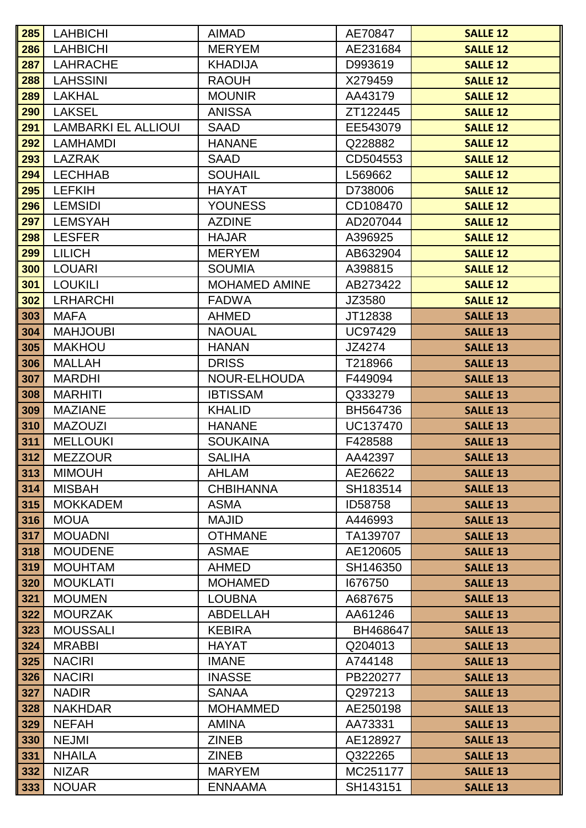| 285        | <b>LAHBICHI</b>                  | <b>AIMAD</b>                  | AE70847             | <b>SALLE 12</b>                    |
|------------|----------------------------------|-------------------------------|---------------------|------------------------------------|
| 286        | <b>LAHBICHI</b>                  | <b>MERYEM</b>                 | AE231684            | <b>SALLE 12</b>                    |
| 287        | <b>LAHRACHE</b>                  | <b>KHADIJA</b>                | D993619             | <b>SALLE 12</b>                    |
| 288        | <b>LAHSSINI</b>                  | <b>RAOUH</b>                  | X279459             | <b>SALLE 12</b>                    |
| 289        | <b>LAKHAL</b>                    | <b>MOUNIR</b>                 | AA43179             | <b>SALLE 12</b>                    |
| 290        | <b>LAKSEL</b>                    | <b>ANISSA</b>                 | ZT122445            | <b>SALLE 12</b>                    |
| 291        | <b>LAMBARKI EL ALLIOUI</b>       | <b>SAAD</b>                   | EE543079            | <b>SALLE 12</b>                    |
| 292        | <b>LAMHAMDI</b>                  | <b>HANANE</b>                 | Q228882             | <b>SALLE 12</b>                    |
| 293        | <b>LAZRAK</b>                    | <b>SAAD</b>                   | CD504553            | <b>SALLE 12</b>                    |
| 294        | <b>LECHHAB</b>                   | <b>SOUHAIL</b>                | L569662             | <b>SALLE 12</b>                    |
| 295        | <b>LEFKIH</b>                    | <b>HAYAT</b>                  | D738006             | <b>SALLE 12</b>                    |
| 296        | <b>LEMSIDI</b>                   | <b>YOUNESS</b>                | CD108470            | <b>SALLE 12</b>                    |
| 297        | <b>LEMSYAH</b>                   | <b>AZDINE</b>                 | AD207044            | <b>SALLE 12</b>                    |
| 298        | <b>LESFER</b>                    | <b>HAJAR</b>                  | A396925             | <b>SALLE 12</b>                    |
| 299        | <b>LILICH</b>                    | <b>MERYEM</b>                 | AB632904            | <b>SALLE 12</b>                    |
| 300        | LOUARI                           | <b>SOUMIA</b>                 | A398815             | <b>SALLE 12</b>                    |
| 301        | <b>LOUKILI</b>                   | <b>MOHAMED AMINE</b>          | AB273422            | <b>SALLE 12</b>                    |
| 302        | <b>LRHARCHI</b>                  | <b>FADWA</b>                  | JZ3580              | <b>SALLE 12</b>                    |
| 303        | <b>MAFA</b>                      | <b>AHMED</b>                  | JT12838             | <b>SALLE 13</b>                    |
| 304        | <b>MAHJOUBI</b>                  | <b>NAOUAL</b>                 | <b>UC97429</b>      | <b>SALLE 13</b>                    |
| 305        | <b>MAKHOU</b>                    | <b>HANAN</b>                  | JZ4274              | <b>SALLE 13</b>                    |
| 306        | <b>MALLAH</b>                    | <b>DRISS</b>                  | T218966             | <b>SALLE 13</b>                    |
| 307        | <b>MARDHI</b>                    | NOUR-ELHOUDA                  | F449094             | <b>SALLE 13</b>                    |
| 308        | <b>MARHITI</b>                   | <b>IBTISSAM</b>               | Q333279             | <b>SALLE 13</b>                    |
| 309        | <b>MAZIANE</b>                   | <b>KHALID</b>                 | BH564736            | <b>SALLE 13</b>                    |
| 310        | <b>MAZOUZI</b>                   | <b>HANANE</b>                 | <b>UC137470</b>     | <b>SALLE 13</b>                    |
| 311        | <b>MELLOUKI</b>                  | <b>SOUKAINA</b>               | F428588             | <b>SALLE 13</b>                    |
| 312        | <b>MEZZOUR</b>                   | <b>SALIHA</b><br><b>AHLAM</b> | AA42397             | <b>SALLE 13</b>                    |
| 313<br>314 | <b>MIMOUH</b>                    | <b>CHBIHANNA</b>              | AE26622             | <b>SALLE 13</b><br><b>SALLE 13</b> |
| 315        | <b>MISBAH</b><br><b>MOKKADEM</b> | <b>ASMA</b>                   | SH183514<br>ID58758 | <b>SALLE 13</b>                    |
| 316        | <b>MOUA</b>                      | <b>MAJID</b>                  | A446993             | <b>SALLE 13</b>                    |
| 317        | <b>MOUADNI</b>                   | <b>OTHMANE</b>                | TA139707            | <b>SALLE 13</b>                    |
| 318        | <b>MOUDENE</b>                   | <b>ASMAE</b>                  | AE120605            | <b>SALLE 13</b>                    |
| 319        | <b>MOUHTAM</b>                   | <b>AHMED</b>                  | SH146350            | <b>SALLE 13</b>                    |
| 320        | <b>MOUKLATI</b>                  | <b>MOHAMED</b>                | 1676750             | <b>SALLE 13</b>                    |
| 321        | <b>MOUMEN</b>                    | <b>LOUBNA</b>                 | A687675             | <b>SALLE 13</b>                    |
| 322        | <b>MOURZAK</b>                   | ABDELLAH                      | AA61246             | <b>SALLE 13</b>                    |
| 323        | <b>MOUSSALI</b>                  | <b>KEBIRA</b>                 | BH468647            | <b>SALLE 13</b>                    |
| 324        | <b>MRABBI</b>                    | <b>HAYAT</b>                  | Q204013             | <b>SALLE 13</b>                    |
| 325        | <b>NACIRI</b>                    | <b>IMANE</b>                  | A744148             | <b>SALLE 13</b>                    |
| 326        | <b>NACIRI</b>                    | <b>INASSE</b>                 | PB220277            | <b>SALLE 13</b>                    |
| 327        | <b>NADIR</b>                     | <b>SANAA</b>                  | Q297213             | <b>SALLE 13</b>                    |
| 328        | <b>NAKHDAR</b>                   | <b>MOHAMMED</b>               | AE250198            | <b>SALLE 13</b>                    |
| 329        | <b>NEFAH</b>                     | <b>AMINA</b>                  | AA73331             | <b>SALLE 13</b>                    |
| 330        | <b>NEJMI</b>                     | <b>ZINEB</b>                  | AE128927            | <b>SALLE 13</b>                    |
| 331        | <b>NHAILA</b>                    | <b>ZINEB</b>                  | Q322265             | <b>SALLE 13</b>                    |
| 332        | <b>NIZAR</b>                     | <b>MARYEM</b>                 | MC251177            | <b>SALLE 13</b>                    |
| 333        | <b>NOUAR</b>                     | <b>ENNAAMA</b>                | SH143151            | <b>SALLE 13</b>                    |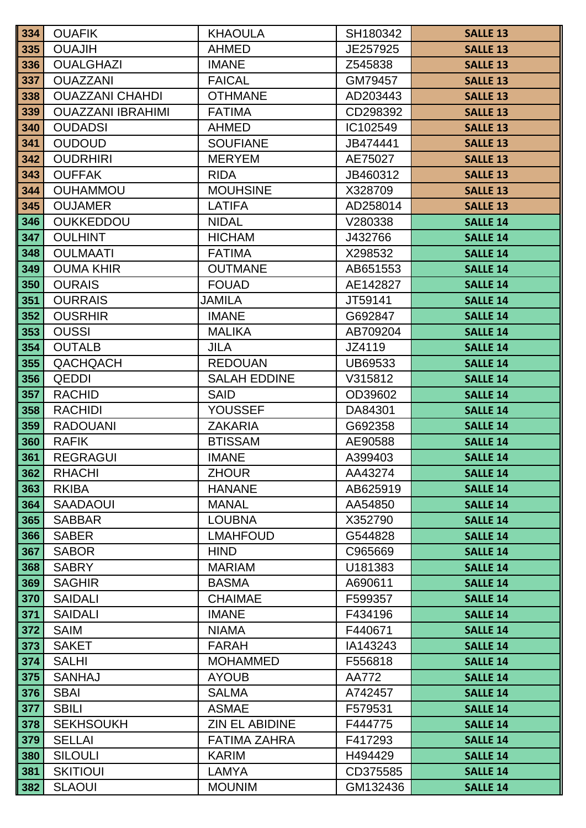| 334        | <b>OUAFIK</b>                   | <b>KHAOULA</b>                 | SH180342           | <b>SALLE 13</b>                    |
|------------|---------------------------------|--------------------------------|--------------------|------------------------------------|
| 335        | <b>OUAJIH</b>                   | <b>AHMED</b>                   | JE257925           | <b>SALLE 13</b>                    |
| 336        | <b>OUALGHAZI</b>                | <b>IMANE</b>                   | Z545838            | <b>SALLE 13</b>                    |
| 337        | <b>OUAZZANI</b>                 | <b>FAICAL</b>                  | GM79457            | <b>SALLE 13</b>                    |
| 338        | <b>OUAZZANI CHAHDI</b>          | <b>OTHMANE</b>                 | AD203443           | <b>SALLE 13</b>                    |
| 339        | <b>OUAZZANI IBRAHIMI</b>        | <b>FATIMA</b>                  | CD298392           | <b>SALLE 13</b>                    |
| 340        | <b>OUDADSI</b>                  | <b>AHMED</b>                   | IC102549           | <b>SALLE 13</b>                    |
| 341        | <b>OUDOUD</b>                   | <b>SOUFIANE</b>                | JB474441           | <b>SALLE 13</b>                    |
| 342        | <b>OUDRHIRI</b>                 | <b>MERYEM</b>                  | AE75027            | <b>SALLE 13</b>                    |
| 343        | <b>OUFFAK</b>                   | <b>RIDA</b>                    | JB460312           | <b>SALLE 13</b>                    |
| 344        | <b>OUHAMMOU</b>                 | <b>MOUHSINE</b>                | X328709            | <b>SALLE 13</b>                    |
| 345        | <b>OUJAMER</b>                  | <b>LATIFA</b>                  | AD258014           | <b>SALLE 13</b>                    |
| 346        | <b>OUKKEDDOU</b>                | <b>NIDAL</b>                   | V280338            | <b>SALLE 14</b>                    |
| 347        | <b>OULHINT</b>                  | <b>HICHAM</b>                  | J432766            | <b>SALLE 14</b>                    |
| 348        | <b>OULMAATI</b>                 | <b>FATIMA</b>                  | X298532            | <b>SALLE 14</b>                    |
| 349        | <b>OUMA KHIR</b>                | <b>OUTMANE</b>                 | AB651553           | <b>SALLE 14</b>                    |
| 350        | <b>OURAIS</b>                   | <b>FOUAD</b>                   | AE142827           | <b>SALLE 14</b>                    |
| 351        | <b>OURRAIS</b>                  | JAMILA                         | JT59141            | <b>SALLE 14</b>                    |
| 352        | <b>OUSRHIR</b>                  | <b>IMANE</b>                   | G692847            | <b>SALLE 14</b>                    |
| 353        | <b>OUSSI</b>                    | <b>MALIKA</b>                  | AB709204           | <b>SALLE 14</b>                    |
| 354        | <b>OUTALB</b>                   | <b>JILA</b>                    | JZ4119             | <b>SALLE 14</b>                    |
| 355        | QACHQACH                        | <b>REDOUAN</b>                 | UB69533            | <b>SALLE 14</b>                    |
| 356        | <b>QEDDI</b>                    | <b>SALAH EDDINE</b>            | V315812            | <b>SALLE 14</b>                    |
| 357        | <b>RACHID</b>                   | <b>SAID</b>                    | OD39602            | <b>SALLE 14</b>                    |
| 358        | <b>RACHIDI</b>                  | <b>YOUSSEF</b>                 | DA84301            | <b>SALLE 14</b>                    |
| 359        | <b>RADOUANI</b><br><b>RAFIK</b> | <b>ZAKARIA</b>                 | G692358            | <b>SALLE 14</b><br><b>SALLE 14</b> |
| 360<br>361 | <b>REGRAGUI</b>                 | <b>BTISSAM</b><br><b>IMANE</b> | AE90588<br>A399403 | <b>SALLE 14</b>                    |
| 362        | <b>RHACHI</b>                   | <b>ZHOUR</b>                   | AA43274            | <b>SALLE 14</b>                    |
| 363        | <b>RKIBA</b>                    | <b>HANANE</b>                  | AB625919           | <b>SALLE 14</b>                    |
| 364        | <b>SAADAOUI</b>                 | <b>MANAL</b>                   | AA54850            | <b>SALLE 14</b>                    |
| 365        | <b>SABBAR</b>                   | <b>LOUBNA</b>                  | X352790            | <b>SALLE 14</b>                    |
| 366        | <b>SABER</b>                    | <b>LMAHFOUD</b>                | G544828            | <b>SALLE 14</b>                    |
| 367        | <b>SABOR</b>                    | <b>HIND</b>                    | C965669            | <b>SALLE 14</b>                    |
| 368        | <b>SABRY</b>                    | <b>MARIAM</b>                  | U181383            | <b>SALLE 14</b>                    |
| 369        | <b>SAGHIR</b>                   | <b>BASMA</b>                   | A690611            | <b>SALLE 14</b>                    |
| 370        | <b>SAIDALI</b>                  | <b>CHAIMAE</b>                 | F599357            | <b>SALLE 14</b>                    |
| 371        | <b>SAIDALI</b>                  | <b>IMANE</b>                   | F434196            | <b>SALLE 14</b>                    |
| 372        | <b>SAIM</b>                     | <b>NIAMA</b>                   | F440671            | <b>SALLE 14</b>                    |
| 373        | <b>SAKET</b>                    | <b>FARAH</b>                   | IA143243           | <b>SALLE 14</b>                    |
| 374        | <b>SALHI</b>                    | <b>MOHAMMED</b>                | F556818            | <b>SALLE 14</b>                    |
| 375        | <b>SANHAJ</b>                   | <b>AYOUB</b>                   | AA772              | <b>SALLE 14</b>                    |
| 376        | <b>SBAI</b>                     | <b>SALMA</b>                   | A742457            | <b>SALLE 14</b>                    |
| 377        | <b>SBILI</b>                    | <b>ASMAE</b>                   | F579531            | <b>SALLE 14</b>                    |
| 378        | <b>SEKHSOUKH</b>                | <b>ZIN EL ABIDINE</b>          | F444775            | <b>SALLE 14</b>                    |
| 379        | <b>SELLAI</b>                   | <b>FATIMA ZAHRA</b>            | F417293            | <b>SALLE 14</b>                    |
| 380        | <b>SILOULI</b>                  | <b>KARIM</b>                   | H494429            | <b>SALLE 14</b>                    |
| 381        | <b>SKITIOUI</b>                 | <b>LAMYA</b>                   | CD375585           | <b>SALLE 14</b>                    |
| 382        | <b>SLAOUI</b>                   | <b>MOUNIM</b>                  | GM132436           | <b>SALLE 14</b>                    |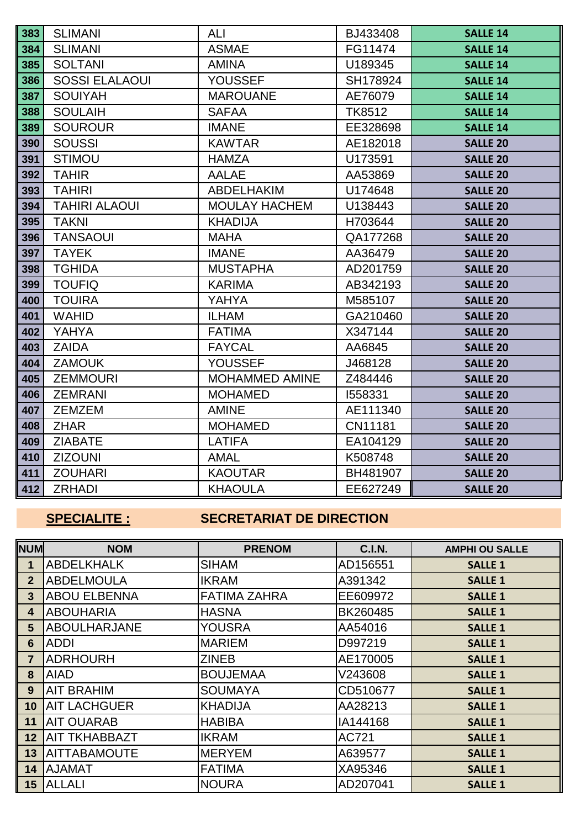| 383 | <b>SLIMANI</b>        | ALI                   | BJ433408      | <b>SALLE 14</b> |
|-----|-----------------------|-----------------------|---------------|-----------------|
| 384 | <b>SLIMANI</b>        | <b>ASMAE</b>          | FG11474       | <b>SALLE 14</b> |
| 385 | <b>SOLTANI</b>        | <b>AMINA</b>          | U189345       | <b>SALLE 14</b> |
| 386 | <b>SOSSI ELALAOUI</b> | <b>YOUSSEF</b>        | SH178924      | <b>SALLE 14</b> |
| 387 | <b>SOUIYAH</b>        | <b>MAROUANE</b>       | AE76079       | <b>SALLE 14</b> |
| 388 | <b>SOULAIH</b>        | <b>SAFAA</b>          | <b>TK8512</b> | <b>SALLE 14</b> |
| 389 | <b>SOUROUR</b>        | <b>IMANE</b>          | EE328698      | <b>SALLE 14</b> |
| 390 | <b>SOUSSI</b>         | <b>KAWTAR</b>         | AE182018      | <b>SALLE 20</b> |
| 391 | <b>STIMOU</b>         | <b>HAMZA</b>          | U173591       | <b>SALLE 20</b> |
| 392 | <b>TAHIR</b>          | <b>AALAE</b>          | AA53869       | <b>SALLE 20</b> |
| 393 | <b>TAHIRI</b>         | <b>ABDELHAKIM</b>     | U174648       | <b>SALLE 20</b> |
| 394 | <b>TAHIRI ALAOUI</b>  | <b>MOULAY HACHEM</b>  | U138443       | <b>SALLE 20</b> |
| 395 | <b>TAKNI</b>          | <b>KHADIJA</b>        | H703644       | <b>SALLE 20</b> |
| 396 | <b>TANSAOUI</b>       | <b>MAHA</b>           | QA177268      | <b>SALLE 20</b> |
| 397 | <b>TAYEK</b>          | <b>IMANE</b>          | AA36479       | <b>SALLE 20</b> |
| 398 | <b>TGHIDA</b>         | <b>MUSTAPHA</b>       | AD201759      | <b>SALLE 20</b> |
| 399 | <b>TOUFIQ</b>         | <b>KARIMA</b>         | AB342193      | <b>SALLE 20</b> |
| 400 | <b>TOUIRA</b>         | <b>YAHYA</b>          | M585107       | <b>SALLE 20</b> |
| 401 | <b>WAHID</b>          | <b>ILHAM</b>          | GA210460      | <b>SALLE 20</b> |
| 402 | YAHYA                 | <b>FATIMA</b>         | X347144       | <b>SALLE 20</b> |
| 403 | <b>ZAIDA</b>          | <b>FAYCAL</b>         | AA6845        | <b>SALLE 20</b> |
| 404 | <b>ZAMOUK</b>         | <b>YOUSSEF</b>        | J468128       | <b>SALLE 20</b> |
| 405 | <b>ZEMMOURI</b>       | <b>MOHAMMED AMINE</b> | Z484446       | <b>SALLE 20</b> |
| 406 | <b>ZEMRANI</b>        | <b>MOHAMED</b>        | 1558331       | <b>SALLE 20</b> |
| 407 | <b>ZEMZEM</b>         | <b>AMINE</b>          | AE111340      | <b>SALLE 20</b> |
| 408 | <b>ZHAR</b>           | <b>MOHAMED</b>        | CN11181       | <b>SALLE 20</b> |
| 409 | <b>ZIABATE</b>        | <b>LATIFA</b>         | EA104129      | <b>SALLE 20</b> |
| 410 | <b>ZIZOUNI</b>        | <b>AMAL</b>           | K508748       | <b>SALLE 20</b> |
| 411 | <b>ZOUHARI</b>        | <b>KAOUTAR</b>        | BH481907      | <b>SALLE 20</b> |
| 412 | ZRHADI                | <b>KHAOULA</b>        | EE627249      | <b>SALLE 20</b> |

# **SPECIALITE : SECRETARIAT DE DIRECTION**

| <b>NUM</b>     | <b>NOM</b>           | <b>PRENOM</b>       | <b>C.I.N.</b>   | <b>AMPHI OU SALLE</b> |
|----------------|----------------------|---------------------|-----------------|-----------------------|
| $\mathbf 1$    | <b>ABDELKHALK</b>    | <b>SIHAM</b>        | AD156551        | <b>SALLE 1</b>        |
| 2 <sup>2</sup> | <b>ABDELMOULA</b>    | <b>IKRAM</b>        | A391342         | <b>SALLE 1</b>        |
| 3 <sup>5</sup> | <b>ABOU ELBENNA</b>  | <b>FATIMA ZAHRA</b> | EE609972        | <b>SALLE 1</b>        |
| 4              | <b>ABOUHARIA</b>     | <b>HASNA</b>        | <b>BK260485</b> | <b>SALLE 1</b>        |
| 5 <sup>5</sup> | <b>ABOULHARJANE</b>  | <b>YOUSRA</b>       | AA54016         | <b>SALLE 1</b>        |
| 6              | <b>ADDI</b>          | <b>MARIEM</b>       | D997219         | <b>SALLE 1</b>        |
| $\overline{7}$ | <b>ADRHOURH</b>      | <b>ZINEB</b>        | AE170005        | <b>SALLE 1</b>        |
| 8              | IAIAD                | <b>BOUJEMAA</b>     | V243608         | <b>SALLE 1</b>        |
| 9              | <b>AIT BRAHIM</b>    | <b>SOUMAYA</b>      | CD510677        | <b>SALLE 1</b>        |
| 10             | <b>AIT LACHGUER</b>  | <b>KHADIJA</b>      | AA28213         | <b>SALLE 1</b>        |
| 11             | <b>AIT OUARAB</b>    | <b>HABIBA</b>       | IA144168        | <b>SALLE 1</b>        |
| 12             | <b>AIT TKHABBAZT</b> | <b>IKRAM</b>        | <b>AC721</b>    | <b>SALLE 1</b>        |
| 13             | <b>AITTABAMOUTE</b>  | <b>IMERYEM</b>      | A639577         | <b>SALLE 1</b>        |
| 14             | <b>AJAMAT</b>        | <b>FATIMA</b>       | XA95346         | <b>SALLE 1</b>        |
| 15             | ALLALI               | <b>NOURA</b>        | AD207041        | <b>SALLE 1</b>        |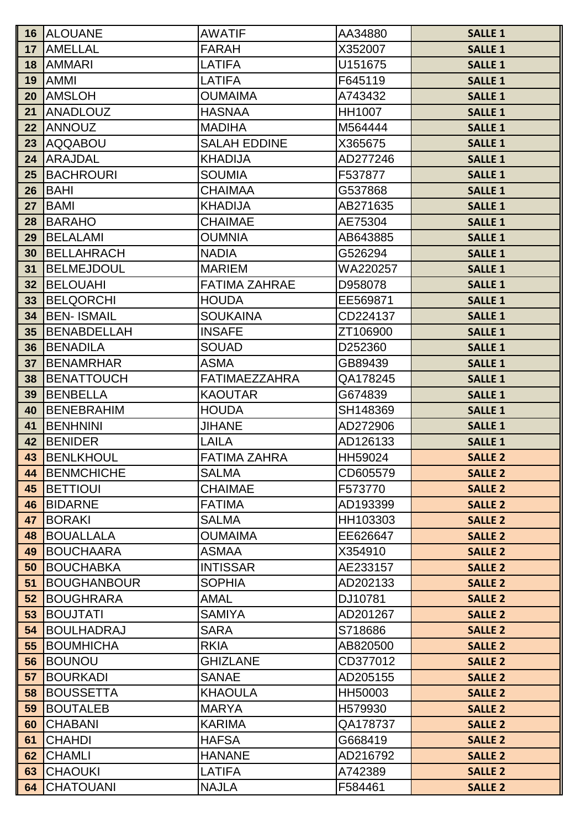| 16              | <b>ALOUANE</b>     | <b>AWATIF</b>        | AA34880       | <b>SALLE 1</b> |
|-----------------|--------------------|----------------------|---------------|----------------|
| 17              | <b>AMELLAL</b>     | <b>FARAH</b>         | X352007       | <b>SALLE 1</b> |
| 18              | <b>AMMARI</b>      | LATIFA               | U151675       | <b>SALLE 1</b> |
| 19              | <b>AMMI</b>        | <b>LATIFA</b>        | F645119       | <b>SALLE 1</b> |
| 20              | <b>AMSLOH</b>      | <b>OUMAIMA</b>       | A743432       | <b>SALLE 1</b> |
| 21              | ANADLOUZ           | <b>HASNAA</b>        | <b>HH1007</b> | <b>SALLE 1</b> |
| 22              | <b>ANNOUZ</b>      | <b>MADIHA</b>        | M564444       | <b>SALLE 1</b> |
| 23              | <b>AQQABOU</b>     | <b>SALAH EDDINE</b>  | X365675       | <b>SALLE 1</b> |
| 24              | <b>ARAJDAL</b>     | <b>KHADIJA</b>       | AD277246      | <b>SALLE 1</b> |
| $25\,$          | <b>BACHROURI</b>   | <b>SOUMIA</b>        | F537877       | <b>SALLE 1</b> |
| 26              | <b>BAHI</b>        | <b>CHAIMAA</b>       | G537868       | <b>SALLE 1</b> |
| 27              | <b>BAMI</b>        | <b>KHADIJA</b>       | AB271635      | <b>SALLE 1</b> |
| 28              | <b>BARAHO</b>      | <b>CHAIMAE</b>       | AE75304       | <b>SALLE 1</b> |
| 29              | <b>BELALAMI</b>    | <b>OUMNIA</b>        | AB643885      | <b>SALLE 1</b> |
| 30              | BELLAHRACH         | <b>NADIA</b>         | G526294       | <b>SALLE 1</b> |
| 31              | <b>BELMEJDOUL</b>  | <b>MARIEM</b>        | WA220257      | <b>SALLE 1</b> |
| 32 <sub>2</sub> | BELOUAHI           | <b>FATIMA ZAHRAE</b> | D958078       | <b>SALLE 1</b> |
| 33              | BELQORCHI          | <b>HOUDA</b>         | EE569871      | <b>SALLE 1</b> |
| 34              | <b>BEN- ISMAIL</b> | <b>SOUKAINA</b>      | CD224137      | <b>SALLE 1</b> |
| 35              | <b>BENABDELLAH</b> | <b>INSAFE</b>        | ZT106900      | <b>SALLE 1</b> |
| 36              | <b>BENADILA</b>    | <b>SOUAD</b>         | D252360       | <b>SALLE 1</b> |
| 37              | <b>BENAMRHAR</b>   | <b>ASMA</b>          | GB89439       | <b>SALLE 1</b> |
| 38              | <b>BENATTOUCH</b>  | <b>FATIMAEZZAHRA</b> | QA178245      | <b>SALLE 1</b> |
| 39              | BENBELLA           | <b>KAOUTAR</b>       | G674839       | <b>SALLE 1</b> |
| 40              | <b>BENEBRAHIM</b>  | <b>HOUDA</b>         | SH148369      | <b>SALLE 1</b> |
| 41              | BENHNINI           | <b>JIHANE</b>        | AD272906      | <b>SALLE 1</b> |
| 42              | BENIDER            | LAILA                | AD126133      | <b>SALLE 1</b> |
| 43              | BENLKHOUL          | <b>FATIMA ZAHRA</b>  | HH59024       | <b>SALLE 2</b> |
| 44              | <b>IBENMCHICHE</b> | <b>SALMA</b>         | CD605579      | <b>SALLE 2</b> |
| 45              | <b>BETTIOUI</b>    | <b>CHAIMAE</b>       | F573770       | <b>SALLE 2</b> |
| 46              | <b>BIDARNE</b>     | <b>FATIMA</b>        | AD193399      | <b>SALLE 2</b> |
| 47              | BORAKI             | <b>SALMA</b>         | HH103303      | <b>SALLE 2</b> |
| 48              | BOUALLALA          | <b>OUMAIMA</b>       | EE626647      | <b>SALLE 2</b> |
| 49              | BOUCHAARA          | <b>ASMAA</b>         | X354910       | <b>SALLE 2</b> |
| 50              | BOUCHABKA          | <b>INTISSAR</b>      | AE233157      | <b>SALLE 2</b> |
| 51              | BOUGHANBOUR        | <b>SOPHIA</b>        | AD202133      | <b>SALLE 2</b> |
| 52              | BOUGHRARA          | <b>AMAL</b>          | DJ10781       | <b>SALLE 2</b> |
| 53              | <b>BOUJTATI</b>    | <b>SAMIYA</b>        | AD201267      | <b>SALLE 2</b> |
| 54              | BOULHADRAJ         | <b>SARA</b>          | S718686       | <b>SALLE 2</b> |
| 55              | <b>BOUMHICHA</b>   | <b>RKIA</b>          | AB820500      | <b>SALLE 2</b> |
| 56              | BOUNOU             | <b>GHIZLANE</b>      | CD377012      | <b>SALLE 2</b> |
| 57              | BOURKADI           | <b>SANAE</b>         | AD205155      | <b>SALLE 2</b> |
| 58              | BOUSSETTA          | <b>KHAOULA</b>       | HH50003       | <b>SALLE 2</b> |
| 59              | BOUTALEB           | <b>MARYA</b>         | H579930       | <b>SALLE 2</b> |
| 60              | <b>CHABANI</b>     | <b>KARIMA</b>        | QA178737      | <b>SALLE 2</b> |
| 61              | <b>CHAHDI</b>      | <b>HAFSA</b>         | G668419       | <b>SALLE 2</b> |
| 62              | <b>CHAMLI</b>      | <b>HANANE</b>        | AD216792      | <b>SALLE 2</b> |
| 63              | <b>CHAOUKI</b>     | LATIFA               | A742389       | <b>SALLE 2</b> |
| 64              | <b>CHATOUANI</b>   | <b>NAJLA</b>         | F584461       | <b>SALLE 2</b> |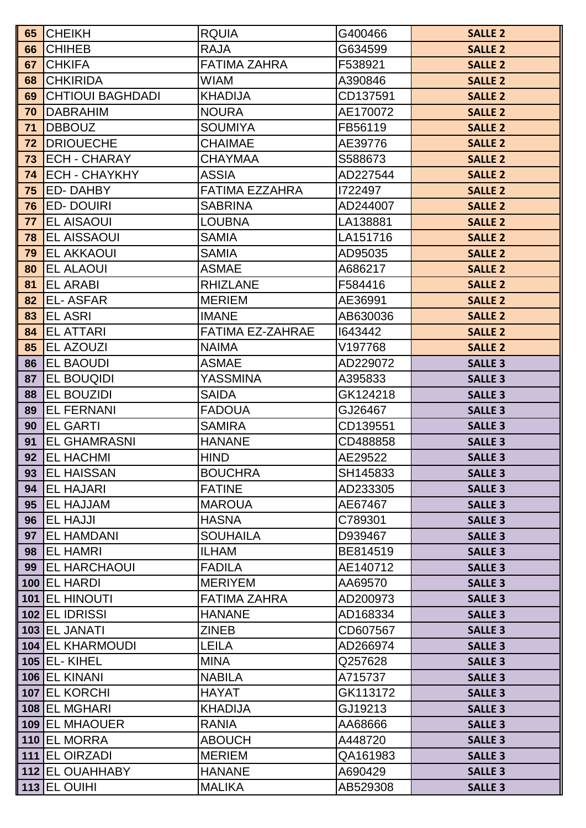| 65 | <b>CHEIKH</b>           | <b>RQUIA</b>            | G400466  | <b>SALLE 2</b> |
|----|-------------------------|-------------------------|----------|----------------|
| 66 | <b>CHIHEB</b>           | <b>RAJA</b>             | G634599  | <b>SALLE 2</b> |
| 67 | <b>CHKIFA</b>           | <b>FATIMA ZAHRA</b>     | F538921  | <b>SALLE 2</b> |
| 68 | <b>CHKIRIDA</b>         | WIAM                    | A390846  | <b>SALLE 2</b> |
| 69 | <b>CHTIOUI BAGHDADI</b> | <b>KHADIJA</b>          | CD137591 | <b>SALLE 2</b> |
| 70 | <b>DABRAHIM</b>         | <b>NOURA</b>            | AE170072 | <b>SALLE 2</b> |
| 71 | <b>DBBOUZ</b>           | <b>SOUMIYA</b>          | FB56119  | <b>SALLE 2</b> |
| 72 | <b>DRIOUECHE</b>        | <b>CHAIMAE</b>          | AE39776  | <b>SALLE 2</b> |
| 73 | <b>ECH - CHARAY</b>     | <b>CHAYMAA</b>          | S588673  | <b>SALLE 2</b> |
| 74 | <b>ECH - CHAYKHY</b>    | <b>ASSIA</b>            | AD227544 | <b>SALLE 2</b> |
| 75 | <b>ED-DAHBY</b>         | <b>FATIMA EZZAHRA</b>   | 1722497  | <b>SALLE 2</b> |
| 76 | <b>ED-DOUIRI</b>        | <b>SABRINA</b>          | AD244007 | <b>SALLE 2</b> |
| 77 | <b>EL AISAOUI</b>       | <b>LOUBNA</b>           | LA138881 | <b>SALLE 2</b> |
| 78 | <b>EL AISSAOUI</b>      | <b>SAMIA</b>            | LA151716 | <b>SALLE 2</b> |
| 79 | <b>EL AKKAOUI</b>       | <b>SAMIA</b>            | AD95035  | <b>SALLE 2</b> |
| 80 | <b>EL ALAOUI</b>        | <b>ASMAE</b>            | A686217  | <b>SALLE 2</b> |
| 81 | <b>EL ARABI</b>         | <b>RHIZLANE</b>         | F584416  | <b>SALLE 2</b> |
| 82 | <b>EL-ASFAR</b>         | <b>MERIEM</b>           | AE36991  | <b>SALLE 2</b> |
| 83 | <b>EL ASRI</b>          | <b>IMANE</b>            | AB630036 | <b>SALLE 2</b> |
| 84 | <b>EL ATTARI</b>        | <b>FATIMA EZ-ZAHRAE</b> | 1643442  | <b>SALLE 2</b> |
| 85 | <b>EL AZOUZI</b>        | <b>NAIMA</b>            | V197768  | <b>SALLE 2</b> |
| 86 | <b>EL BAOUDI</b>        | <b>ASMAE</b>            | AD229072 | <b>SALLE 3</b> |
| 87 | <b>EL BOUQIDI</b>       | YASSMINA                | A395833  | <b>SALLE 3</b> |
| 88 | EL BOUZIDI              | SAIDA                   | GK124218 | <b>SALLE 3</b> |
| 89 | <b>EL FERNANI</b>       | <b>FADOUA</b>           | GJ26467  | <b>SALLE 3</b> |
| 90 | <b>EL GARTI</b>         | <b>SAMIRA</b>           | CD139551 | <b>SALLE 3</b> |
| 91 | <b>EL GHAMRASNI</b>     | <b>HANANE</b>           | CD488858 | <b>SALLE 3</b> |
| 92 | <b>EL HACHMI</b>        | <b>HIND</b>             | AE29522  | <b>SALLE 3</b> |
| 93 | <b>IEL HAISSAN</b>      | <b>BOUCHRA</b>          | SH145833 | <b>SALLE 3</b> |
| 94 | <b>IEL HAJARI</b>       | <b>FATINE</b>           | AD233305 | <b>SALLE 3</b> |
| 95 | <b>EL HAJJAM</b>        | <b>MAROUA</b>           | AE67467  | <b>SALLE 3</b> |
| 96 | <b>EL HAJJI</b>         | <b>HASNA</b>            | C789301  | <b>SALLE 3</b> |
| 97 | <b>EL HAMDANI</b>       | <b>SOUHAILA</b>         | D939467  | <b>SALLE 3</b> |
| 98 | <b>EL HAMRI</b>         | <b>ILHAM</b>            | BE814519 | <b>SALLE 3</b> |
| 99 | <b>IEL HARCHAOUI</b>    | <b>FADILA</b>           | AE140712 | <b>SALLE 3</b> |
|    | 100 EL HARDI            | <b>MERIYEM</b>          | AA69570  | <b>SALLE 3</b> |
|    | 101 EL HINOUTI          | <b>FATIMA ZAHRA</b>     | AD200973 | <b>SALLE 3</b> |
|    | 102 EL IDRISSI          | <b>HANANE</b>           | AD168334 | <b>SALLE 3</b> |
|    | 103 EL JANATI           | <b>ZINEB</b>            | CD607567 | <b>SALLE 3</b> |
|    | <b>104 EL KHARMOUDI</b> | <b>LEILA</b>            | AD266974 | <b>SALLE 3</b> |
|    | <b>105 EL- KIHEL</b>    | <b>MINA</b>             | Q257628  | <b>SALLE 3</b> |
|    | 106 EL KINANI           | <b>NABILA</b>           | A715737  | <b>SALLE 3</b> |
|    | 107 EL KORCHI           | <b>HAYAT</b>            | GK113172 | <b>SALLE 3</b> |
|    | 108 EL MGHARI           | <b>KHADIJA</b>          | GJ19213  | <b>SALLE 3</b> |
|    | 109 EL MHAOUER          | <b>RANIA</b>            | AA68666  | <b>SALLE 3</b> |
|    | 110 EL MORRA            | <b>ABOUCH</b>           | A448720  | <b>SALLE 3</b> |
|    | 111 EL OIRZADI          | <b>MERIEM</b>           | QA161983 | <b>SALLE 3</b> |
|    | 112 EL OUAHHABY         | <b>HANANE</b>           | A690429  | <b>SALLE 3</b> |
|    | 113 EL OUIHI            | <b>MALIKA</b>           | AB529308 | <b>SALLE 3</b> |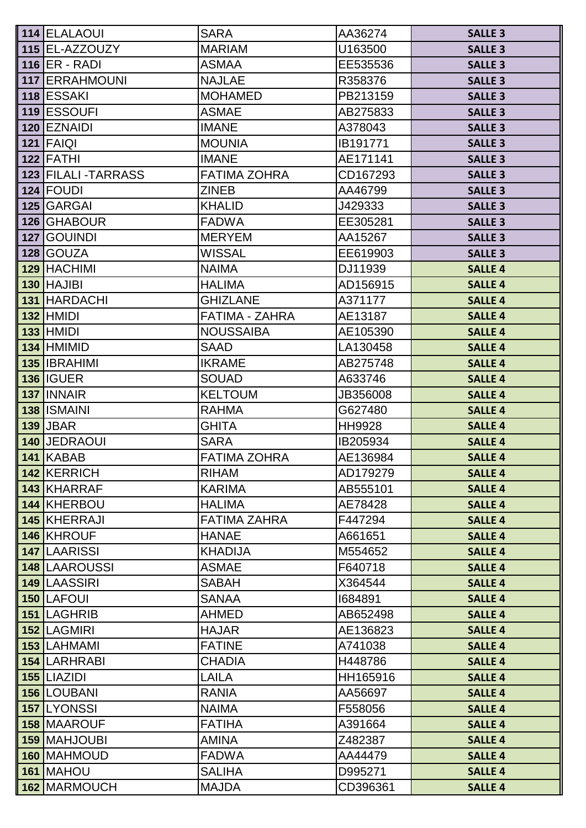| 114 ELALAOUI         | <b>SARA</b>         | AA36274       | <b>SALLE 3</b> |
|----------------------|---------------------|---------------|----------------|
| 115 EL-AZZOUZY       | <b>MARIAM</b>       | U163500       | <b>SALLE 3</b> |
| $116$ ER - RADI      | <b>ASMAA</b>        | EE535536      | <b>SALLE 3</b> |
| 117 ERRAHMOUNI       | <b>NAJLAE</b>       | R358376       | <b>SALLE 3</b> |
| 118 ESSAKI           | <b>MOHAMED</b>      | PB213159      | <b>SALLE 3</b> |
| 119 ESSOUFI          | <b>ASMAE</b>        | AB275833      | <b>SALLE 3</b> |
| 120 EZNAIDI          | <b>IMANE</b>        | A378043       | <b>SALLE 3</b> |
| 121 FAIQI            | <b>MOUNIA</b>       | IB191771      | <b>SALLE 3</b> |
| 122 FATHI            | <b>IMANE</b>        | AE171141      | <b>SALLE 3</b> |
| 123 FILALI - TARRASS | <b>FATIMA ZOHRA</b> | CD167293      | <b>SALLE 3</b> |
| 124 FOUDI            | <b>ZINEB</b>        | AA46799       | <b>SALLE 3</b> |
| 125 GARGAI           | <b>KHALID</b>       | J429333       | <b>SALLE 3</b> |
| 126 GHABOUR          | <b>FADWA</b>        | EE305281      | <b>SALLE 3</b> |
| 127 GOUINDI          | <b>MERYEM</b>       | AA15267       | <b>SALLE 3</b> |
| 128 GOUZA            | <b>WISSAL</b>       | EE619903      | <b>SALLE 3</b> |
| 129 HACHIMI          | <b>NAIMA</b>        | DJ11939       | <b>SALLE 4</b> |
| 130 HAJIBI           | <b>HALIMA</b>       | AD156915      | <b>SALLE 4</b> |
| <b>131 HARDACHI</b>  | <b>GHIZLANE</b>     | A371177       | <b>SALLE 4</b> |
| <b>132 HMIDI</b>     | FATIMA - ZAHRA      | AE13187       | <b>SALLE 4</b> |
| <b>133 HMIDI</b>     | <b>NOUSSAIBA</b>    | AE105390      | <b>SALLE 4</b> |
| 134 HMIMID           | <b>SAAD</b>         | LA130458      | <b>SALLE 4</b> |
| 135 <b>IBRAHIMI</b>  | <b>IKRAME</b>       | AB275748      | <b>SALLE 4</b> |
| <b>136 IGUER</b>     | <b>SOUAD</b>        | A633746       | <b>SALLE 4</b> |
| 137 INNAIR           | <b>KELTOUM</b>      | JB356008      | <b>SALLE 4</b> |
| 138 ISMAINI          | <b>RAHMA</b>        | G627480       | <b>SALLE 4</b> |
| <b>139 JBAR</b>      | <b>GHITA</b>        | <b>HH9928</b> | <b>SALLE 4</b> |
| <b>140 JEDRAOUI</b>  | <b>SARA</b>         | IB205934      | <b>SALLE 4</b> |
| 141 KABAB            | <b>FATIMA ZOHRA</b> | AE136984      | <b>SALLE 4</b> |
| 142 KERRICH          | <b>RIHAM</b>        | AD179279      | <b>SALLE 4</b> |
| <b>143 KHARRAF</b>   | <b>KARIMA</b>       | AB555101      | <b>SALLE 4</b> |
| 144 KHERBOU          | <b>HALIMA</b>       | AE78428       | <b>SALLE 4</b> |
| 145 KHERRAJI         | <b>FATIMA ZAHRA</b> | F447294       | <b>SALLE 4</b> |
| 146 KHROUF           | <b>HANAE</b>        | A661651       | <b>SALLE 4</b> |
| <b>147 LAARISSI</b>  | <b>KHADIJA</b>      | M554652       | <b>SALLE 4</b> |
| <b>148 LAAROUSSI</b> | <b>ASMAE</b>        | F640718       | <b>SALLE 4</b> |
| 149 LAASSIRI         | <b>SABAH</b>        | X364544       | <b>SALLE 4</b> |
| <b>150 LAFOUI</b>    | <b>SANAA</b>        | 1684891       | <b>SALLE 4</b> |
| 151 LAGHRIB          | <b>AHMED</b>        | AB652498      | <b>SALLE 4</b> |
| 152 LAGMIRI          | <b>HAJAR</b>        | AE136823      | <b>SALLE 4</b> |
| 153 LAHMAMI          | <b>FATINE</b>       | A741038       | <b>SALLE 4</b> |
| <b>154 LARHRABI</b>  | <b>CHADIA</b>       | H448786       | <b>SALLE 4</b> |
| 155 LIAZIDI          | LAILA               | HH165916      | <b>SALLE 4</b> |
| <b>156 LOUBANI</b>   | <b>RANIA</b>        | AA56697       | <b>SALLE 4</b> |
| 157 LYONSSI          | <b>NAIMA</b>        | F558056       | <b>SALLE 4</b> |
| 158 MAAROUF          | <b>FATIHA</b>       | A391664       | <b>SALLE 4</b> |
| <b>159 MAHJOUBI</b>  | <b>AMINA</b>        | Z482387       | <b>SALLE 4</b> |
| 160 MAHMOUD          | <b>FADWA</b>        | AA44479       | <b>SALLE 4</b> |
| 161 MAHOU            | <b>SALIHA</b>       | D995271       | <b>SALLE 4</b> |
| 162 MARMOUCH         | <b>MAJDA</b>        | CD396361      | <b>SALLE 4</b> |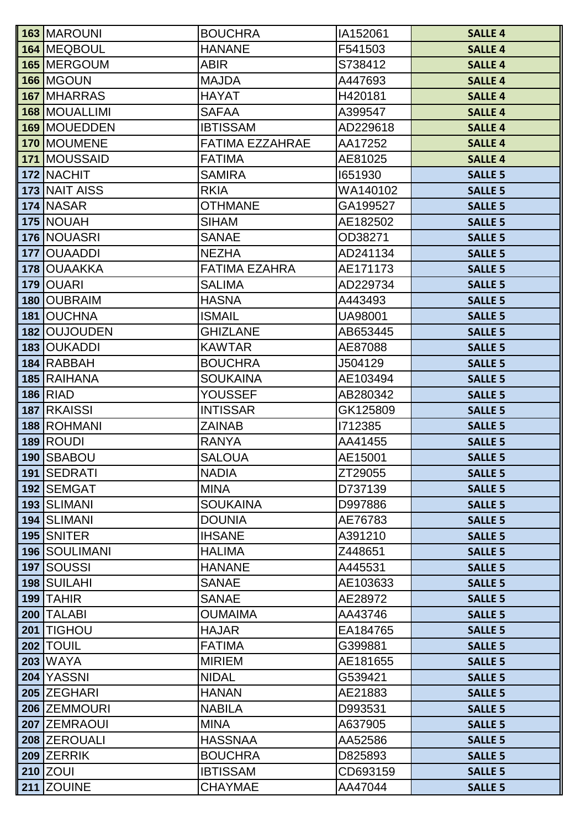| 163 MAROUNI                | <b>BOUCHRA</b>                   | IA152061       | <b>SALLE 4</b> |
|----------------------------|----------------------------------|----------------|----------------|
| 164 MEQBOUL                | <b>HANANE</b>                    | F541503        | <b>SALLE 4</b> |
| 165 MERGOUM                | <b>ABIR</b>                      | S738412        | <b>SALLE 4</b> |
| 166 MGOUN                  | <b>MAJDA</b>                     | A447693        | <b>SALLE 4</b> |
| 167 MHARRAS                | <b>HAYAT</b>                     | H420181        | <b>SALLE 4</b> |
| 168 MOUALLIMI              | <b>SAFAA</b>                     | A399547        | <b>SALLE 4</b> |
| 169 MOUEDDEN               | <b>IBTISSAM</b>                  | AD229618       | <b>SALLE 4</b> |
| 170 MOUMENE                | FATIMA EZZAHRAE                  | AA17252        | <b>SALLE 4</b> |
| 171 MOUSSAID               | <b>FATIMA</b>                    | AE81025        | <b>SALLE 4</b> |
| 172 NACHIT                 | <b>SAMIRA</b>                    | 1651930        | <b>SALLE 5</b> |
| 173 NAIT AISS              | <b>RKIA</b>                      | WA140102       | <b>SALLE 5</b> |
| 174 NASAR                  | <b>OTHMANE</b>                   | GA199527       | <b>SALLE 5</b> |
| 175 NOUAH                  | <b>SIHAM</b>                     | AE182502       | <b>SALLE 5</b> |
| 176 NOUASRI                | <b>SANAE</b>                     | OD38271        | <b>SALLE 5</b> |
| 177 OUAADDI                | <b>NEZHA</b>                     | AD241134       | <b>SALLE 5</b> |
| 178 OUAAKKA                | <b>FATIMA EZAHRA</b>             | AE171173       | <b>SALLE 5</b> |
| 179 OUARI                  | <b>SALIMA</b>                    | AD229734       | <b>SALLE 5</b> |
| 180 OUBRAIM                | <b>HASNA</b>                     | A443493        | <b>SALLE 5</b> |
| 181 OUCHNA                 | <b>ISMAIL</b>                    | <b>UA98001</b> | <b>SALLE 5</b> |
| 182 OUJOUDEN               | <b>GHIZLANE</b>                  | AB653445       | <b>SALLE 5</b> |
| 183 OUKADDI                | <b>KAWTAR</b>                    | AE87088        | <b>SALLE 5</b> |
| 184 RABBAH                 | <b>BOUCHRA</b>                   | J504129        | <b>SALLE 5</b> |
| 185 RAIHANA                | <b>SOUKAINA</b>                  | AE103494       | <b>SALLE 5</b> |
| <b>186 RIAD</b>            | <b>YOUSSEF</b>                   | AB280342       | <b>SALLE 5</b> |
| 187 RKAISSI                | <b>INTISSAR</b>                  | GK125809       | <b>SALLE 5</b> |
| 188 ROHMANI                | <b>ZAINAB</b>                    | 1712385        | <b>SALLE 5</b> |
| 189 ROUDI                  | <b>RANYA</b>                     | AA41455        | <b>SALLE 5</b> |
| 190 SBABOU                 | <b>SALOUA</b>                    | AE15001        | <b>SALLE 5</b> |
| 191 SEDRATI                | <b>NADIA</b>                     | ZT29055        | <b>SALLE 5</b> |
| 192 SEMGAT                 | <b>MINA</b>                      | D737139        | <b>SALLE 5</b> |
| <b>193 SLIMANI</b>         | <b>SOUKAINA</b>                  | D997886        | <b>SALLE 5</b> |
| 194 SLIMANI                | <b>DOUNIA</b>                    | AE76783        | <b>SALLE 5</b> |
| 195 SNITER                 | <b>IHSANE</b>                    | A391210        | <b>SALLE 5</b> |
| <b>196 SOULIMANI</b>       | <b>HALIMA</b>                    | Z448651        | <b>SALLE 5</b> |
| 197 SOUSSI                 | <b>HANANE</b>                    | A445531        | <b>SALLE 5</b> |
| 198 SUILAHI                | <b>SANAE</b>                     | AE103633       | <b>SALLE 5</b> |
| 199 TAHIR                  | <b>SANAE</b>                     | AE28972        | <b>SALLE 5</b> |
| 200 TALABI                 | <b>OUMAIMA</b>                   | AA43746        | <b>SALLE 5</b> |
| 201 TIGHOU                 | <b>HAJAR</b>                     | EA184765       | <b>SALLE 5</b> |
| <b>202 TOUIL</b>           | <b>FATIMA</b>                    | G399881        | <b>SALLE 5</b> |
| <b>203 WAYA</b>            | <b>MIRIEM</b>                    | AE181655       | <b>SALLE 5</b> |
| 204 YASSNI                 | <b>NIDAL</b>                     | G539421        | <b>SALLE 5</b> |
| 205 ZEGHARI                | <b>HANAN</b>                     | AE21883        | <b>SALLE 5</b> |
| 206 ZEMMOURI               | <b>NABILA</b>                    | D993531        | <b>SALLE 5</b> |
| 207 ZEMRAOUI               | <b>MINA</b>                      | A637905        | <b>SALLE 5</b> |
| 208 ZEROUALI<br>209 ZERRIK | <b>HASSNAA</b><br><b>BOUCHRA</b> | AA52586        | <b>SALLE 5</b> |
|                            |                                  | D825893        | <b>SALLE 5</b> |
| <b>210 ZOUI</b>            | <b>IBTISSAM</b>                  | CD693159       | <b>SALLE 5</b> |
| 211 ZOUINE                 | <b>CHAYMAE</b>                   | AA47044        | <b>SALLE 5</b> |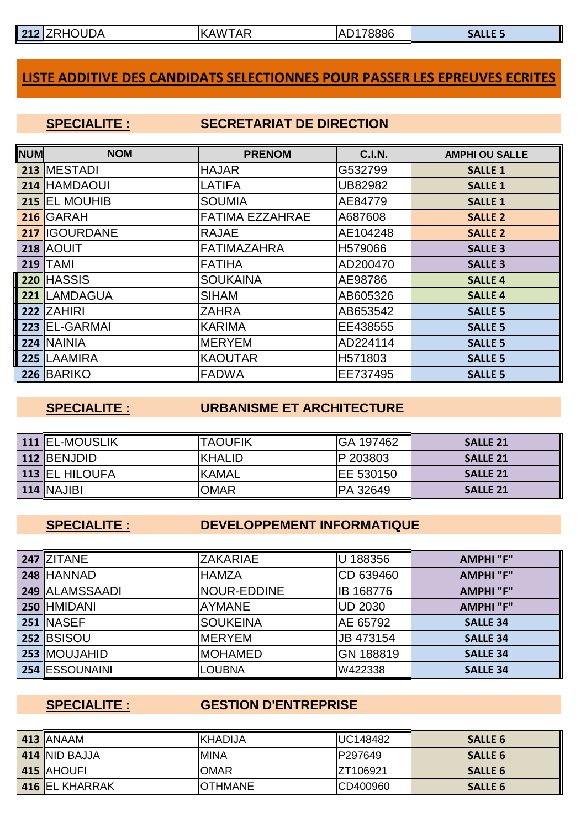| 212<br>$\sqrt{2}$ | <b>HOUDA</b><br>╶╹┻╾╹ | <b>AR</b><br>AW<br>К<br>v | 78886<br>ΔI<br>. .<br>ᇺ | '4د |
|-------------------|-----------------------|---------------------------|-------------------------|-----|
|                   |                       |                           |                         |     |

### **LISTE ADDITIVE DES CANDIDATS SELECTIONNES POUR PASSER LES EPREUVES ECRITES**

### **SPECIALITE : SECRETARIAT DE DIRECTION**

| <b>NUM</b> | <b>NOM</b>             | <b>PRENOM</b>          | <b>C.I.N.</b> | <b>AMPHI OU SALLE</b> |
|------------|------------------------|------------------------|---------------|-----------------------|
|            | 213 MESTADI            | <b>HAJAR</b>           | G532799       | <b>SALLE 1</b>        |
|            | 214 HAMDAOUI           | <b>LATIFA</b>          | UB82982       | <b>SALLE 1</b>        |
|            | 215 <b>IEL MOUHIB</b>  | <b>SOUMIA</b>          | AE84779       | <b>SALLE 1</b>        |
|            | 216 GARAH              | <b>FATIMA EZZAHRAE</b> | A687608       | <b>SALLE 2</b>        |
|            | 217 <b>I</b> IGOURDANE | <b>RAJAE</b>           | AE104248      | <b>SALLE 2</b>        |
|            | <b>218 AOUIT</b>       | <b>FATIMAZAHRA</b>     | H579066       | <b>SALLE 3</b>        |
|            | $219$ TAMI             | <b>FATIHA</b>          | AD200470      | <b>SALLE 3</b>        |
|            | <b>220 HASSIS</b>      | <b>SOUKAINA</b>        | AE98786       | <b>SALLE 4</b>        |
|            | 221 LAMDAGUA           | <b>SIHAM</b>           | AB605326      | <b>SALLE 4</b>        |
|            | 222 ZAHIRI             | <b>ZAHRA</b>           | AB653542      | <b>SALLE 5</b>        |
|            | 223 EL-GARMAI          | <b>KARIMA</b>          | EE438555      | <b>SALLE 5</b>        |
|            | 224 NAINIA             | <b>MERYEM</b>          | AD224114      | <b>SALLE 5</b>        |
|            | 225 LAAMIRA            | <b>KAOUTAR</b>         | H571803       | <b>SALLE 5</b>        |
|            | 226 BARIKO             | <b>FADWA</b>           | EE737495      | <b>SALLE 5</b>        |

### **SPECIALITE : URBANISME ET ARCHITECTURE**

| 111 <b>EL-MOUSLIK</b> | <b>TAOUFIK</b> | <b>GA 197462</b>  | <b>SALLE 21</b> |
|-----------------------|----------------|-------------------|-----------------|
| 112 BENJDID           | <b>KHALID</b>  | IP 203803         | <b>SALLE 21</b> |
| <b>113 EL HILOUFA</b> | <b>KAMAL</b>   | <b>IEE 530150</b> | <b>SALLE 21</b> |
| $114$ NAJIBI          | OMAR           | <b>IPA 32649</b>  | <b>SALLE 21</b> |

### **SPECIALITE : DEVELOPPEMENT INFORMATIQUE**

| 247 ZITANE          | <b>ZAKARIAE</b>     | U 188356         | <b>AMPHI</b> "F" |
|---------------------|---------------------|------------------|------------------|
| <b>248 HANNAD</b>   | <b>HAMZA</b>        | CD 639460        | <b>AMPHI</b> "F" |
| 249 ALAMSSAADI      | <b>INOUR-EDDINE</b> | <b>IB 168776</b> | <b>AMPHI"F"</b>  |
| <b>250 HMIDANI</b>  | <b>AYMANE</b>       | <b>UD 2030</b>   | <b>AMPHI"F"</b>  |
| 251 INASEF          | <b>SOUKEINA</b>     | AE 65792         | <b>SALLE 34</b>  |
| 252 BSISOU          | <b>IMERYEM</b>      | JB 473154        | <b>SALLE 34</b>  |
| <b>253 MOUJAHID</b> | <b>MOHAMED</b>      | GN 188819        | <b>SALLE 34</b>  |
| 254 ESSOUNAINI      | <b>LOUBNA</b>       | W422338          | <b>SALLE 34</b>  |

### **SPECIALITE : GESTION D'ENTREPRISE**

| 413 ANAAM      | IKHADIJA       | <b>UC148482</b> | <b>SALLE 6</b> |
|----------------|----------------|-----------------|----------------|
| 414 NID BAJJA  | IMINA          | P297649         | <b>SALLE 6</b> |
| 415 AHOUFI     | <b>OMAR</b>    | IZT106921       | <b>SALLE 6</b> |
| 416 EL KHARRAK | <b>OTHMANE</b> | CD400960        | <b>SALLE 6</b> |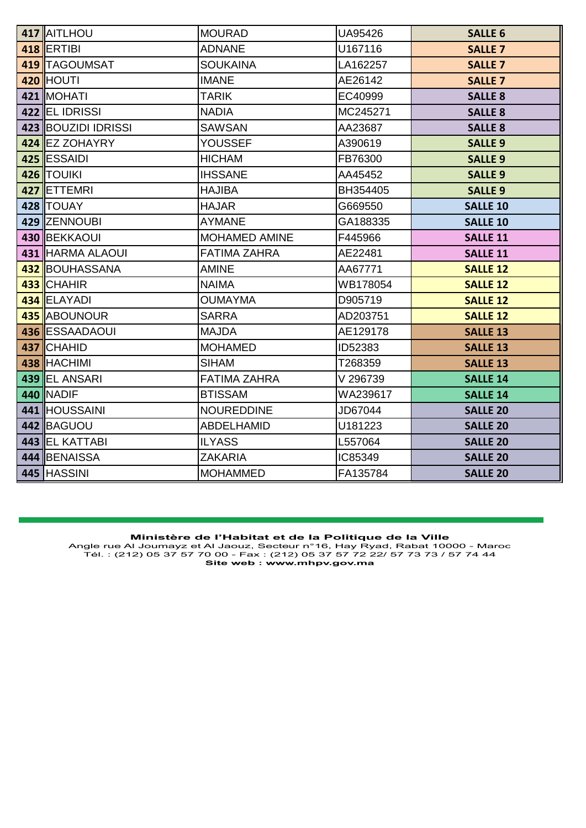| 417 AITLHOU         | <b>MOURAD</b>        | UA95426  | <b>SALLE 6</b>  |
|---------------------|----------------------|----------|-----------------|
| <b>418 ERTIBI</b>   | <b>ADNANE</b>        | U167116  | <b>SALLE 7</b>  |
| 419   TAGOUMSAT     | <b>SOUKAINA</b>      | LA162257 | <b>SALLE 7</b>  |
| 420 HOUTI           | <b>IMANE</b>         | AE26142  | <b>SALLE 7</b>  |
| 421 MOHATI          | <b>TARIK</b>         | EC40999  | <b>SALLE 8</b>  |
| 422 EL IDRISSI      | <b>NADIA</b>         | MC245271 | <b>SALLE 8</b>  |
| 423 BOUZIDI IDRISSI | <b>SAWSAN</b>        | AA23687  | <b>SALLE 8</b>  |
| 424 EZ ZOHAYRY      | YOUSSEF              | A390619  | <b>SALLE 9</b>  |
| 425 ESSAIDI         | <b>HICHAM</b>        | FB76300  | <b>SALLE 9</b>  |
| 426 TOUIKI          | <b>IHSSANE</b>       | AA45452  | <b>SALLE 9</b>  |
| 427 ETTEMRI         | <b>HAJIBA</b>        | BH354405 | <b>SALLE 9</b>  |
| 428 TOUAY           | <b>HAJAR</b>         | G669550  | <b>SALLE 10</b> |
| 429 ZENNOUBI        | <b>AYMANE</b>        | GA188335 | <b>SALLE 10</b> |
| 430 BEKKAOUI        | <b>MOHAMED AMINE</b> | F445966  | <b>SALLE 11</b> |
| 431 HARMA ALAOUI    | <b>FATIMA ZAHRA</b>  | AE22481  | <b>SALLE 11</b> |
| 432 BOUHASSANA      | <b>AMINE</b>         | AA67771  | <b>SALLE 12</b> |
| 433 CHAHIR          | <b>NAIMA</b>         | WB178054 | <b>SALLE 12</b> |
| 434 ELAYADI         | <b>OUMAYMA</b>       | D905719  | <b>SALLE 12</b> |
| 435 ABOUNOUR        | <b>SARRA</b>         | AD203751 | <b>SALLE 12</b> |
| 436 ESSAADAOUI      | <b>MAJDA</b>         | AE129178 | <b>SALLE 13</b> |
| 437 CHAHID          | <b>MOHAMED</b>       | ID52383  | <b>SALLE 13</b> |
| 438 HACHIMI         | <b>SIHAM</b>         | T268359  | <b>SALLE 13</b> |
| 439 EL ANSARI       | <b>FATIMA ZAHRA</b>  | V 296739 | <b>SALLE 14</b> |
| 440 NADIF           | <b>BTISSAM</b>       | WA239617 | <b>SALLE 14</b> |
| 441 HOUSSAINI       | <b>NOUREDDINE</b>    | JD67044  | <b>SALLE 20</b> |
| 442 BAGUOU          | <b>ABDELHAMID</b>    | U181223  | <b>SALLE 20</b> |
| 443 EL KATTABI      | <b>ILYASS</b>        | L557064  | <b>SALLE 20</b> |
| 444 BENAISSA        | <b>ZAKARIA</b>       | IC85349  | <b>SALLE 20</b> |
| 445 HASSINI         | <b>MOHAMMED</b>      | FA135784 | <b>SALLE 20</b> |

**Ministère de l'Habitat et de la Politique de la Ville**<br>Angle rue Al Joumayz et Al Jaouz, Secteur n°16, Hay Ryad, Rabat 10000 - Maroc<br>Tél. : (212) 05 37 57 70 00 - Fax : (212) 05 37 57 72 22/ 57 73 73 / 57 74 44<br>Site web :